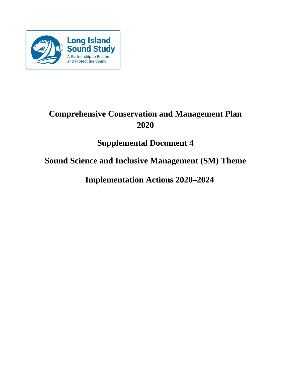

# **Comprehensive Conservation and Management Plan 2020**

# **Supplemental Document 4**

# **Sound Science and Inclusive Management (SM) Theme**

**Implementation Actions 2020–2024**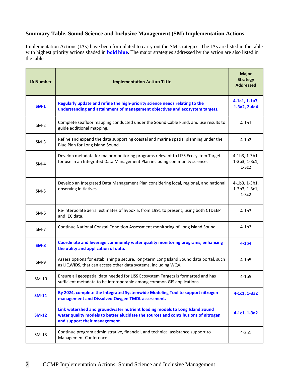# **Summary Table. Sound Science and Inclusive Management (SM) Implementation Actions**

Implementation Actions (IAs) have been formulated to carry out the SM strategies. The IAs are listed in the table with highest priority actions shaded in **bold blue**. The major strategies addressed by the action are also listed in the table.

| <b>IA Number</b> | <b>Implementation Action Title</b>                                                                                                                                                                 | <b>Major</b><br><b>Strategy</b><br><b>Addressed</b> |
|------------------|----------------------------------------------------------------------------------------------------------------------------------------------------------------------------------------------------|-----------------------------------------------------|
| $SM-1$           | Regularly update and refine the high-priority science needs relating to the<br>understanding and attainment of management objectives and ecosystem targets.                                        | 4-1a1, 1-1a7,<br>1-3a2, 2-4a4                       |
| $SM-2$           | Complete seafloor mapping conducted under the Sound Cable Fund, and use results to<br>guide additional mapping.                                                                                    | $4-1b1$                                             |
| $SM-3$           | Refine and expand the data supporting coastal and marine spatial planning under the<br>Blue Plan for Long Island Sound.                                                                            | $4-1b2$                                             |
| $SM-4$           | Develop metadata for major monitoring programs relevant to LISS Ecosystem Targets<br>for use in an Integrated Data Management Plan including community science.                                    | 4-1b3, 1-3b1,<br>1-3b3, 1-3c1,<br>$1-3c2$           |
| $SM-5$           | Develop an Integrated Data Management Plan considering local, regional, and national<br>observing initiatives.                                                                                     | 4-1b3, 1-3b1,<br>1-3b3, 1-3c1,<br>$1-3c2$           |
| $SM-6$           | Re-interpolate aerial estimates of hypoxia, from 1991 to present, using both CTDEEP<br>and IEC data.                                                                                               | $4-1b3$                                             |
| $SM-7$           | Continue National Coastal Condition Assessment monitoring of Long Island Sound.                                                                                                                    | $4-1b3$                                             |
| $SM-8$           | Coordinate and leverage community water quality monitoring programs, enhancing<br>the utility and application of data.                                                                             | $4-1b4$                                             |
| $SM-9$           | Assess options for establishing a secure, long-term Long Island Sound data portal, such<br>as LIQWIDS, that can access other data systems, including WQX.                                          | $4-1b5$                                             |
| SM-10            | Ensure all geospatial data needed for LISS Ecosystem Targets is formatted and has<br>sufficient metadata to be interoperable among common GIS applications.                                        | $4-1b5$                                             |
| <b>SM-11</b>     | By 2024, complete the Integrated Systemwide Modeling Tool to support nitrogen<br>management and Dissolved Oxygen TMDL assessment.                                                                  | $4-1c1, 1-3a2$                                      |
| <b>SM-12</b>     | Link watershed and groundwater nutrient loading models to Long Island Sound<br>water quality models to better elucidate the sources and contributions of nitrogen<br>and support their management. | 4-1c1, 1-3a2                                        |
| $SM-13$          | Continue program administrative, financial, and technical assistance support to<br>Management Conference.                                                                                          | $4-2a1$                                             |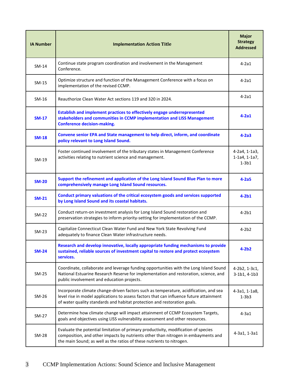| <b>IA Number</b> | <b>Implementation Action Title</b>                                                                                                                                                                                                                           | <b>Major</b><br><b>Strategy</b><br><b>Addressed</b> |
|------------------|--------------------------------------------------------------------------------------------------------------------------------------------------------------------------------------------------------------------------------------------------------------|-----------------------------------------------------|
| $SM-14$          | Continue state program coordination and involvement in the Management<br>Conference.                                                                                                                                                                         | $4-2a1$                                             |
| $SM-15$          | Optimize structure and function of the Management Conference with a focus on<br>implementation of the revised CCMP.                                                                                                                                          | $4-2a1$                                             |
| SM-16            | Reauthorize Clean Water Act sections 119 and 320 in 2024.                                                                                                                                                                                                    | $4-2a1$                                             |
| $SM-17$          | Establish and implement practices to effectively engage underrepresented<br>stakeholders and communities in CCMP implementation and LISS Management<br><b>Conference decision-making.</b>                                                                    | $4-2a1$                                             |
| <b>SM-18</b>     | Convene senior EPA and State management to help direct, inform, and coordinate<br>policy relevant to Long Island Sound.                                                                                                                                      | $4-2a3$                                             |
| SM-19            | Foster continued involvement of the tributary states in Management Conference<br>activities relating to nutrient science and management.                                                                                                                     | 4-2a4, 1-1a3,<br>$1-1a4, 1-1a7,$<br>$1-3b1$         |
| <b>SM-20</b>     | Support the refinement and application of the Long Island Sound Blue Plan to more<br>comprehensively manage Long Island Sound resources.                                                                                                                     | $4-2a5$                                             |
| $SM-21$          | Conduct primary valuations of the critical ecosystem goods and services supported<br>by Long Island Sound and its coastal habitats.                                                                                                                          | $4-2b1$                                             |
| $SM-22$          | Conduct return-on investment analysis for Long Island Sound restoration and<br>preservation strategies to inform priority-setting for implementation of the CCMP.                                                                                            | $4-2b1$                                             |
| $SM-23$          | Capitalize Connecticut Clean Water Fund and New York State Revolving Fund<br>adequately to finance Clean Water infrastructure needs.                                                                                                                         | $4-2b2$                                             |
| <b>SM-24</b>     | Research and develop innovative, locally appropriate funding mechanisms to provide<br>sustained, reliable sources of investment capital to restore and protect ecosystem<br>services.                                                                        | $4-2b2$                                             |
| SM-25            | Coordinate, collaborate and leverage funding opportunities with the Long Island Sound<br>National Estuarine Research Reserve for implementation and restoration, science, and<br>public involvement and education projects.                                  | 4-2b2, 1-3c1,<br>$3 - 1b1, 4 - 1b3$                 |
| SM-26            | Incorporate climate change-driven factors such as temperature, acidification, and sea<br>level rise in model applications to assess factors that can influence future attainment<br>of water quality standards and habitat protection and restoration goals. | 4-3a1, 1-1a8,<br>$1-3b3$                            |
| SM-27            | Determine how climate change will impact attainment of CCMP Ecosystem Targets,<br>goals and objectives using LISS vulnerability assessment and other resources.                                                                                              | $4-3a1$                                             |
| <b>SM-28</b>     | Evaluate the potential limitation of primary productivity, modification of species<br>composition, and other impacts by nutrients other than nitrogen in embayments and<br>the main Sound; as well as the ratios of these nutrients to nitrogen.             | 4-3a1, 1-3a1                                        |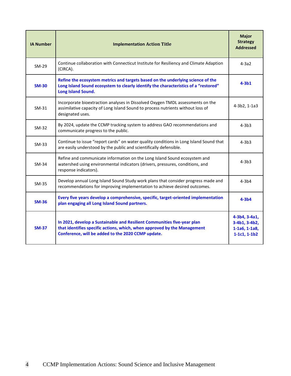| <b>IA Number</b> | <b>Implementation Action Title</b>                                                                                                                                                                        | <b>Major</b><br><b>Strategy</b><br><b>Addressed</b>                 |
|------------------|-----------------------------------------------------------------------------------------------------------------------------------------------------------------------------------------------------------|---------------------------------------------------------------------|
| $SM-29$          | Continue collaboration with Connecticut Institute for Resiliency and Climate Adaption<br>(CIRCA).                                                                                                         | $4-3a2$                                                             |
| <b>SM-30</b>     | Refine the ecosystem metrics and targets based on the underlying science of the<br>Long Island Sound ecosystem to clearly identify the characteristics of a "restored"<br>Long Island Sound.              | $4-3b1$                                                             |
| $SM-31$          | Incorporate bioextraction analyses in Dissolved Oxygen TMDL assessments on the<br>assimilative capacity of Long Island Sound to process nutrients without loss of<br>designated uses.                     | 4-3b2, 1-1a3                                                        |
| $SM-32$          | By 2024, update the CCMP tracking system to address GAO recommendations and<br>communicate progress to the public.                                                                                        | $4-3b3$                                                             |
| $SM-33$          | Continue to issue "report cards" on water quality conditions in Long Island Sound that<br>are easily understood by the public and scientifically defensible.                                              | $4-3b3$                                                             |
| SM-34            | Refine and communicate information on the Long Island Sound ecosystem and<br>watershed using environmental indicators (drivers, pressures, conditions, and<br>response indicators).                       | $4-3b3$                                                             |
| SM-35            | Develop annual Long Island Sound Study work plans that consider progress made and<br>recommendations for improving implementation to achieve desired outcomes.                                            | $4 - 3b4$                                                           |
| $SM-36$          | Every five years develop a comprehensive, specific, target-oriented implementation<br>plan engaging all Long Island Sound partners.                                                                       | $4-3b4$                                                             |
| <b>SM-37</b>     | In 2021, develop a Sustainable and Resilient Communities five-year plan<br>that identifies specific actions, which, when approved by the Management<br>Conference, will be added to the 2020 CCMP update. | 4-3b4, 3-4a1,<br>3-4b1, 3-4b2,<br>$1-1a6, 1-1a8,$<br>$1-1c1, 1-1b2$ |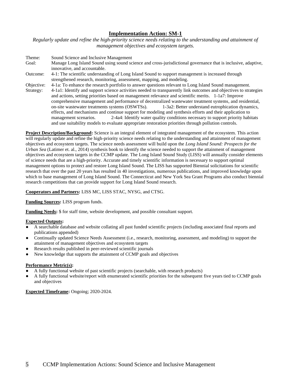*Regularly update and refine the high-priority science needs relating to the understanding and attainment of management objectives and ecosystem targets.*

Theme: Sound Science and Inclusive Management Goal: Manage Long Island Sound using sound science and cross-jurisdictional governance that is inclusive, adaptive, innovative, and accountable. Outcome: 4-1: The scientific understanding of Long Island Sound to support management is increased through strengthened research, monitoring, assessment, mapping, and modeling. Objective: 4-1a: To enhance the research portfolio to answer questions relevant to Long Island Sound management. Strategy: 4-1a1: Identify and support science activities needed to transparently link outcomes and objectives to strategies and actions, setting priorities based on management relevance and scientific merits. 1-1a7: Improve comprehensive management and performance of decentralized wastewater treatment systems, and residential, on-site wastewater treatments systems (OSWTSs). 1-3a2: Better understand eutrophication dynamics, effects, and mechanisms and continue support for modeling and synthesis efforts and their application to management scenarios. 2-4a4: Identify water quality conditions necessary to support priority habitats and use suitability models to evaluate appropriate restoration priorities through pollution controls.

**Project Description/Background:** Science is an integral element of integrated management of the ecosystem. This action will regularly update and refine the high-priority science needs relating to the understanding and attainment of management objectives and ecosystem targets. The science needs assessment will build upon the *Long Island Sound: Prospects for the Urban Sea* (Latimer et. al., 2014) synthesis book to identify the science needed to support the attainment of management objectives and ecosystem targets in the CCMP update. The Long Island Sound Study (LISS) will annually consider elements of science needs that are a high-priority. Accurate and timely scientific information is necessary to support optimal management options to protect and restore Long Island Sound. The LISS has supported Biennial solicitations for scientific research that over the past 20 years has resulted in 40 investigations, numerous publications, and improved knowledge upon which to base management of Long Island Sound. The Connecticut and New York Sea Grant Programs also conduct biennial research competitions that can provide support for Long Island Sound research.

**Cooperators and Partners:** LISS MC, LISS STAC, NYSG, and CTSG.

**Funding Sources:** LISS program funds.

**Funding Needs:** \$ for staff time, website development, and possible consultant support.

# **Expected Outputs:**

- A searchable database and website collating all past funded scientific projects (including associated final reports and publications appended)
- Continually updated Science Needs Assessment (i.e., research, monitoring, assessment, and modeling) to support the attainment of management objectives and ecosystem targets
- Research results published in peer-reviewed scientific journals
- New knowledge that supports the attainment of CCMP goals and objectives

# **Performance Metric(s):**

- A fully functional website of past scientific projects (searchable, with research products)
- A fully functional website/report with enumerated scientific priorities for the subsequent five years tied to CCMP goals and objectives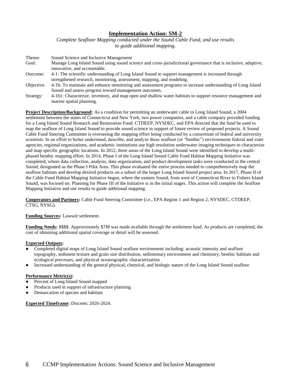*Complete Seafloor Mapping conducted under the Sound Cable Fund, and use results to guide additional mapping.*

| Theme:     | Sound Science and Inclusive Management                                                                        |
|------------|---------------------------------------------------------------------------------------------------------------|
| Goal:      | Manage Long Island Sound using sound science and cross-jurisdictional governance that is inclusive, adaptive, |
|            | innovative, and accountable.                                                                                  |
| Outcome:   | 4-1: The scientific understanding of Long Island Sound to support management is increased through             |
|            | strengthened research, monitoring, assessment, mapping, and modeling.                                         |
| Objective: | 4-1b: To maintain and enhance monitoring and assessment programs to increase understanding of Long Island     |
|            | Sound and assess progress toward management outcomes.                                                         |
| Strategy:  | 4-1b1: Characterize, inventory, and map open and shallow water habitats to support resource management and    |
|            | marine spatial planning.                                                                                      |

**Project Description/Background:** As a condition for permitting an underwater cable in Long Island Sound, a 2004 settlement between the states of Connecticut and New York, two power companies, and a cable company provided funding for a Long Island Sound Research and Restoration Fund. CTDEEP, NYSDEC, and EPA directed that the fund be used to map the seafloor of Long Island Sound to provide sound science in support of future review of proposed projects. A Sound Cable Fund Steering Committee is overseeing the mapping effort being conducted by a consortium of federal and university scientists. In an effort to better understand, describe, and analyze these seafloor (or "benthic") environments federal and state agencies, regional organizations, and academic institutions use high resolution underwater imaging techniques to characterize and map specific geographic locations. In 2012, three areas of the Long Island Sound were identified to develop a multiphased benthic mapping effort. In 2014, Phase I of the Long Island Sound Cable Fund Habitat Mapping Initiative was completed, where data collection, analysis, data organization, and product development tasks were conducted in the central Sound, designated as the Phase I Pilot Area. This phase evaluated the entire process needed to comprehensively map the seafloor habitats and develop desired products on a subset of the larger Long Island Sound project area. In 2017, Phase II of the Cable Fund Habitat Mapping Initiative began, where the eastern Sound, from west of Connecticut River to Fishers Island Sound, was focused on. Planning for Phase III of the Initiative is in the initial stages. This action will complete the Seafloor Mapping Initiative and use results to guide additional mapping.

**Cooperators and Partners:** Cable Fund Steering Committee (i.e., EPA Region 1 and Region 2, NYSDEC, CTDEEP, CTSG, NYSG).

# **Funding Sources:** Lawsuit settlement.

**Funding Needs:** \$\$\$\$. Approximately \$7M was made available through the settlement fund. As products are completed, the cost of obtaining additional spatial coverage or detail will be assessed.

### **Expected Outputs:**

- Completed digital maps of Long Island Sound seafloor environment including: acoustic intensity and seafloor topography, sediment texture and grain size distribution, sedimentary environment and chemistry, benthic habitats and ecological processes, and physical oceanographic characterization
- Increased understanding of the general physical, chemical, and biologic nature of the Long Island Sound seafloor

### **Performance Metric(s):**

- Percent of Long Island Sound mapped
- Products used in support of infrastructure planning
- Demarcation of species and habitats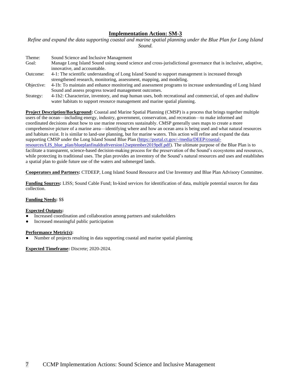*Refine and expand the data supporting coastal and marine spatial planning under the Blue Plan for Long Island Sound.*

| Theme:     | Sound Science and Inclusive Management                                                                        |
|------------|---------------------------------------------------------------------------------------------------------------|
| Goal:      | Manage Long Island Sound using sound science and cross-jurisdictional governance that is inclusive, adaptive, |
|            | innovative, and accountable.                                                                                  |
| Outcome:   | 4-1: The scientific understanding of Long Island Sound to support management is increased through             |
|            | strengthened research, monitoring, assessment, mapping, and modeling.                                         |
| Objective: | 4-1b: To maintain and enhance monitoring and assessment programs to increase understanding of Long Island     |
|            | Sound and assess progress toward management outcomes.                                                         |
| Strategy:  | 4-1b2: Characterize, inventory, and map human uses, both recreational and commercial, of open and shallow     |

water habitats to support resource management and marine spatial planning.

**Project Description/Background:** Coastal and Marine Spatial Planning (CMSP) is a process that brings together multiple users of the ocean—including energy, industry, government, conservation, and recreation—to make informed and coordinated decisions about how to use marine resources sustainably. CMSP generally uses maps to create a more comprehensive picture of a marine area—identifying where and how an ocean area is being used and what natural resources and habitats exist. It is similar to land-use planning, but for marine waters. This action will refine and expand the data supporting CMSP under the Long Island Sound Blue Plan [\(https://portal.ct.gov/-/media/DEEP/coastal](https://portal.ct.gov/-/media/DEEP/coastal-resources/LIS_blue_plan/blueplanfinaldraftversion12september2019pdf.pdf)[resources/LIS\\_blue\\_plan/blueplanfinaldraftversion12september2019pdf.pdf\)](https://portal.ct.gov/-/media/DEEP/coastal-resources/LIS_blue_plan/blueplanfinaldraftversion12september2019pdf.pdf). The ultimate purpose of the Blue Plan is to facilitate a transparent, science-based decision-making process for the preservation of the Sound's ecosystems and resources, while protecting its traditional uses. The plan provides an inventory of the Sound's natural resources and uses and establishes a spatial plan to guide future use of the waters and submerged lands.

**Cooperators and Partners:** CTDEEP, Long Island Sound Resource and Use Inventory and Blue Plan Advisory Committee.

**Funding Sources:** LISS; Sound Cable Fund; In-kind services for identification of data, multiple potential sources for data collection.

# **Funding Needs:** \$\$

### **Expected Outputs:**

- Increased coordination and collaboration among partners and stakeholders
- Increased meaningful public participation

### **Performance Metric(s):**

Number of projects resulting in data supporting coastal and marine spatial planning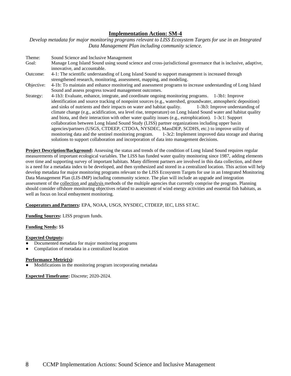*Develop metadata for major monitoring programs relevant to LISS Ecosystem Targets for use in an Integrated Data Management Plan including community science.*

Theme: Sound Science and Inclusive Management Goal: Manage Long Island Sound using sound science and cross-jurisdictional governance that is inclusive, adaptive, innovative, and accountable. Outcome: 4-1: The scientific understanding of Long Island Sound to support management is increased through strengthened research, monitoring, assessment, mapping, and modeling. Objective: 4-1b: To maintain and enhance monitoring and assessment programs to increase understanding of Long Island Sound and assess progress toward management outcomes. Strategy: 4-1b3: Evaluate, enhance, integrate, and coordinate ongoing monitoring programs. 1-3b1: Improve identification and source tracking of nonpoint sources (e.g., watershed, groundwater, atmospheric deposition) and sinks of nutrients and their impacts on water and habitat quality. 1-3b3: Improve understanding of climate change (e.g., acidification, sea level rise, temperature) on Long Island Sound water and habitat quality and biota, and their interaction with other water quality issues (e.g., eutrophication). 1-3c1: Support collaboration between Long Island Sound Study (LISS) partner organizations including upper basin agencies/partners (USGS, CTDEEP, CTDOA, NYSDEC, MassDEP, SCDHS, etc.) to improve utility of monitoring data and the sentinel monitoring program. 1-3c2: Implement improved data storage and sharing solutions to support collaboration and incorporation of data into management decisions.

**Project Description/Background:** Assessing the status and trends of the condition of Long Island Sound requires regular measurements of important ecological variables. The LISS has funded water quality monitoring since 1987, adding elements over time and supporting survey of important habitats. Many different partners are involved in this data collection, and there is a need for a metadata index to be developed, and then synthesized and stored in a centralized location. This action will help develop metadata for major monitoring programs relevant to the LISS Ecosystem Targets for use in an Integrated Monitoring Data Management Plan (LIS-IMP) including community science. The plan will include an upgrade and integration assessment of the collection and analysis methods of the multiple agencies that currently comprise the program. Planning should consider offshore monitoring objectives related to assessment of wind energy activities and essential fish habitats, as well as focus on local embayment monitoring.

**Cooperators and Partners:** EPA, NOAA, USGS, NYSDEC, CTDEEP, IEC, LISS STAC.

**Funding Sources:** LISS program funds.

# **Funding Needs:** \$\$

### **Expected Outputs:**

- Documented metadata for major monitoring programs
- Compilation of metadata in a centralized location

### **Performance Metric(s):**

Modifications in the monitoring program incorporating metadata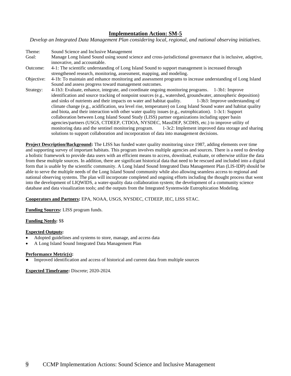*Develop an Integrated Data Management Plan considering local, regional, and national observing initiatives.*

Theme: Sound Science and Inclusive Management Goal: Manage Long Island Sound using sound science and cross-jurisdictional governance that is inclusive, adaptive, innovative, and accountable. Outcome: 4-1: The scientific understanding of Long Island Sound to support management is increased through strengthened research, monitoring, assessment, mapping, and modeling. Objective: 4-1b: To maintain and enhance monitoring and assessment programs to increase understanding of Long Island Sound and assess progress toward management outcomes. Strategy: 4-1b3: Evaluate, enhance, integrate, and coordinate ongoing monitoring programs. 1-3b1: Improve identification and source tracking of nonpoint sources (e.g., watershed, groundwater, atmospheric deposition) and sinks of nutrients and their impacts on water and habitat quality. 1-3b3: Improve understanding of climate change (e.g., acidification, sea level rise, temperature) on Long Island Sound water and habitat quality and biota, and their interaction with other water quality issues (e.g., eutrophication). 1-3c1: Support collaboration between Long Island Sound Study (LISS) partner organizations including upper basin agencies/partners (USGS, CTDEEP, CTDOA, NYSDEC, MassDEP, SCDHS, etc.) to improve utility of monitoring data and the sentinel monitoring program. 1-3c2: Implement improved data storage and sharing solutions to support collaboration and incorporation of data into management decisions.

**Project Description/Background:** The LISS has funded water quality monitoring since 1987, adding elements over time and supporting survey of important habitats. This program involves multiple agencies and sources. There is a need to develop a holistic framework to provide data users with an efficient means to access, download, evaluate, or otherwise utilize the data from these multiple sources. In addition, there are significant historical data that need to be rescued and included into a digital form that is usable by the scientific community. A Long Island Sound Integrated Data Management Plan (LIS-IDP) should be able to serve the multiple needs of the Long Island Sound community while also allowing seamless access to regional and national observing systems. The plan will incorporate completed and ongoing efforts including the thought process that went into the development of LIQWIDS, a water-quality data collaboration system; the development of a community science database and data visualization tools; and the outputs from the Integrated Systemwide Eutrophication Modeling.

**Cooperators and Partners:** EPA, NOAA, USGS, NYSDEC, CTDEEP, IEC, LISS STAC.

**Funding Sources:** LISS program funds.

**Funding Needs:** \$\$

# **Expected Outputs:**

- Adopted guidelines and systems to store, manage, and access data
- A Long Island Sound Integrated Data Management Plan

# **Performance Metric(s):**

Improved identification and access of historical and current data from multiple sources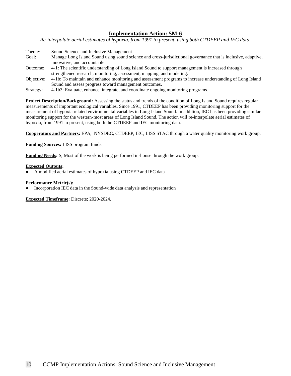*Re-interpolate aerial estimates of hypoxia, from 1991 to present, using both CTDEEP and IEC data.*

Theme: Sound Science and Inclusive Management Goal: Manage Long Island Sound using sound science and cross-jurisdictional governance that is inclusive, adaptive, innovative, and accountable. Outcome: 4-1: The scientific understanding of Long Island Sound to support management is increased through strengthened research, monitoring, assessment, mapping, and modeling. Objective: 4-1b: To maintain and enhance monitoring and assessment programs to increase understanding of Long Island Sound and assess progress toward management outcomes.

Strategy: 4-1b3: Evaluate, enhance, integrate, and coordinate ongoing monitoring programs.

**Project Description/Background:** Assessing the status and trends of the condition of Long Island Sound requires regular measurements of important ecological variables. Since 1991, CTDEEP has been providing monitoring support for the measurement of hypoxia related environmental variables in Long Island Sound. In addition, IEC has been providing similar monitoring support for the western-most areas of Long Island Sound. The action will re-interpolate aerial estimates of hypoxia, from 1991 to present, using both the CTDEEP and IEC monitoring data.

**Cooperators and Partners:** EPA, NYSDEC, CTDEEP, IEC, LISS STAC through a water quality monitoring work group.

**Funding Sources:** LISS program funds.

**Funding Needs:** \$; Most of the work is being performed in-house through the work group.

### **Expected Outputs:**

A modified aerial estimates of hypoxia using CTDEEP and IEC data

### **Performance Metric(s):**

Incorporation IEC data in the Sound-wide data analysis and representation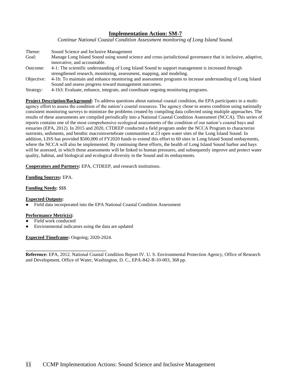*Continue National Coastal Condition Assessment monitoring of Long Island Sound.*

Theme: Sound Science and Inclusive Management Goal: Manage Long Island Sound using sound science and cross-jurisdictional governance that is inclusive, adaptive, innovative, and accountable. Outcome: 4-1: The scientific understanding of Long Island Sound to support management is increased through strengthened research, monitoring, assessment, mapping, and modeling. Objective: 4-1b: To maintain and enhance monitoring and assessment programs to increase understanding of Long Island Sound and assess progress toward management outcomes.

Strategy: 4-1b3: Evaluate, enhance, integrate, and coordinate ongoing monitoring programs.

**Project Description/Background:** To address questions about national coastal condition, the EPA participates in a multiagency effort to assess the condition of the nation's coastal resources. The agency chose to assess condition using nationally consistent monitoring surveys to minimize the problems created by compiling data collected using multiple approaches. The results of these assessments are compiled periodically into a National Coastal Condition Assessment (NCCA). This series of reports contains one of the most comprehensive ecological assessments of the condition of our nation's coastal bays and estuaries (EPA, 2012). In 2015 and 2020, CTDEEP conducted a field program under the NCCA Program to characterize nutrients, sediments, and benthic macroinvertebrate communities at 23 open water sites of the Long Island Sound. In addition, LISS has provided \$500,000 of FY2020 funds to extend this effort to 60 sites in Long Island Sound embayments, where the NCCA will also be implemented. By continuing these efforts, the health of Long Island Sound harbor and bays will be assessed, in which those assessments will be linked to human pressures, and subsequently improve and protect water quality, habitat, and biological and ecological diversity in the Sound and its embayments.

**Cooperators and Partners:** EPA, CTDEEP, and research institutions.

**Funding Sources:** EPA.

**Funding Needs:** \$\$\$

### **Expected Outputs:**

Field data incorporated into the EPA National Coastal Condition Assessment

### **Performance Metric(s):**

- Field work conducted
- Environmental indicators using the data are updated

**Expected Timeframe:** Ongoing; 2020-2024.

**\_\_\_\_\_\_\_\_\_\_\_\_\_\_\_\_\_\_\_\_\_\_\_\_\_\_\_\_\_\_\_\_\_\_**

**Reference:** EPA, 2012. National Coastal Condition Report IV. U. S. Environmental Protection Agency, Office of Research and Development, Office of Water, Washington, D. C., EPA-842-R-10-003, 368 pp.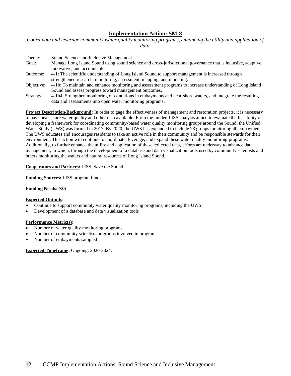*Coordinate and leverage community water quality monitoring programs, enhancing the utility and application of data.*

| Theme:     | Sound Science and Inclusive Management                                                                        |
|------------|---------------------------------------------------------------------------------------------------------------|
| Goal:      | Manage Long Island Sound using sound science and cross-jurisdictional governance that is inclusive, adaptive, |
|            | innovative, and accountable.                                                                                  |
| Outcome:   | 4-1: The scientific understanding of Long Island Sound to support management is increased through             |
|            | strengthened research, monitoring, assessment, mapping, and modeling.                                         |
| Objective: | 4-1b: To maintain and enhance monitoring and assessment programs to increase understanding of Long Island     |
|            | Sound and assess progress toward management outcomes.                                                         |
| Strategy:  | 4-1b4: Strengthen monitoring of conditions in embayments and near-shore waters, and integrate the resulting   |
|            | data and assessments into open water monitoring programs.                                                     |

**Project Description/Background:** In order to gage the effectiveness of management and restoration projects, it is necessary to have near-shore water quality and other data available. From the funded LISS analysis aimed to evaluate the feasibility of developing a framework for coordinating community-based water quality monitoring groups around the Sound, the Unified Water Study (UWS) was formed in 2017. By 2020, the UWS has expanded to include 23 groups monitoring 40 embayments. The UWS educates and encourages residents to take an active role in their community and be responsible stewards for their environment. This action will continue to coordinate, leverage, and expand these water quality monitoring programs. Additionally, to further enhance the utility and application of these collected data, efforts are underway to advance data management, in which, through the development of a database and data visualization tools used by community scientists and others monitoring the waters and natural resources of Long Island Sound.

### **Cooperators and Partners:** LISS, Save the Sound.

**Funding Sources:** LISS program funds.

### **Funding Needs:** \$\$\$

### **Expected Outputs:**

- Continue to support community water quality monitoring programs, including the UWS
- Development of a database and data visualization tools

# **Performance Metric(s):**

- Number of water quality monitoring programs
- Number of community scientists or groups involved in programs
- Number of embayments sampled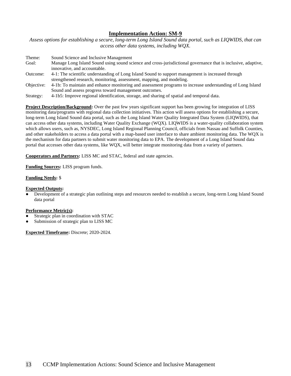*Assess options for establishing a secure, long-term Long Island Sound data portal, such as LIQWIDS, that can access other data systems, including WQX.*

| Theme:     | Sound Science and Inclusive Management                                                                        |
|------------|---------------------------------------------------------------------------------------------------------------|
| Goal:      | Manage Long Island Sound using sound science and cross-jurisdictional governance that is inclusive, adaptive, |
|            | innovative, and accountable.                                                                                  |
| Outcome:   | 4-1: The scientific understanding of Long Island Sound to support management is increased through             |
|            | strengthened research, monitoring, assessment, mapping, and modeling.                                         |
| Objective: | 4-1b: To maintain and enhance monitoring and assessment programs to increase understanding of Long Island     |
|            | Sound and assess progress toward management outcomes.                                                         |
| Strategy:  | 4-1b5: Improve regional identification, storage, and sharing of spatial and temporal data.                    |

**Project Description/Background:** Over the past few years significant support has been growing for integration of LISS monitoring data/programs with regional data collection initiatives. This action will assess options for establishing a secure, long-term Long Island Sound data portal, such as the Long Island Water Quality Integrated Data System (LIQWIDS), that can access other data systems, including Water Quality Exchange (WQX). LIQWIDS is a water-quality collaboration system which allows users, such as, NYSDEC, Long Island Regional Planning Council, officials from Nassau and Suffolk Counties, and other stakeholders to access a data portal with a map-based user interface to share ambient monitoring data. The WQX is the mechanism for data partners to submit water monitoring data to EPA. The development of a Long Island Sound data portal that accesses other data systems, like WQX, will better integrate monitoring data from a variety of partners.

**Cooperators and Partners:** LISS MC and STAC, federal and state agencies.

**Funding Sources:** LISS program funds.

### **Funding Needs:** \$

### **Expected Outputs:**

Development of a strategic plan outlining steps and resources needed to establish a secure, long-term Long Island Sound data portal

### **Performance Metric(s):**

- Strategic plan in coordination with STAC
- Submission of strategic plan to LISS MC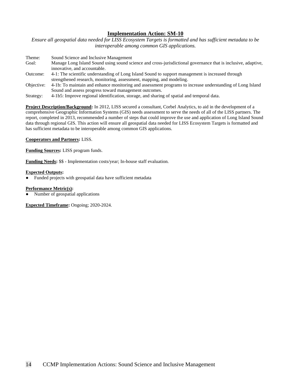*Ensure all geospatial data needed for LISS Ecosystem Targets is formatted and has sufficient metadata to be interoperable among common GIS applications.*

| Theme:     | Sound Science and Inclusive Management                                                                        |
|------------|---------------------------------------------------------------------------------------------------------------|
| Goal:      | Manage Long Island Sound using sound science and cross-jurisdictional governance that is inclusive, adaptive, |
|            | innovative, and accountable.                                                                                  |
| Outcome:   | 4-1: The scientific understanding of Long Island Sound to support management is increased through             |
|            | strengthened research, monitoring, assessment, mapping, and modeling.                                         |
| Objective: | 4-1b: To maintain and enhance monitoring and assessment programs to increase understanding of Long Island     |
|            | Sound and assess progress toward management outcomes.                                                         |
| Strategy:  | 4-1b5: Improve regional identification, storage, and sharing of spatial and temporal data.                    |

**Project Description/Background:** In 2012, LISS secured a consultant, Corbel Analytics, to aid in the development of a comprehensive Geographic Information Systems (GIS) needs assessment to serve the needs of all of the LISS partners. The report, completed in 2013, recommended a number of steps that could improve the use and application of Long Island Sound data through regional GIS. This action will ensure all geospatial data needed for LISS Ecosystem Targets is formatted and has sufficient metadata to be interoperable among common GIS applications.

# **Cooperators and Partners:** LISS.

**Funding Sources:** LISS program funds.

**Funding Needs:** \$\$ - Implementation costs/year; In-house staff evaluation.

### **Expected Outputs:**

Funded projects with geospatial data have sufficient metadata

### **Performance Metric(s):**

Number of geospatial applications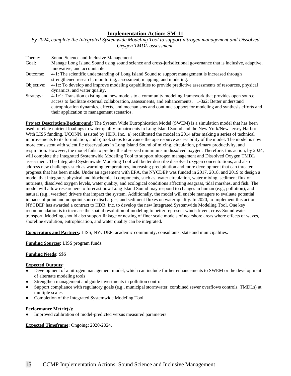*By 2024, complete the Integrated Systemwide Modeling Tool to support nitrogen management and Dissolved Oxygen TMDL assessment.*

Theme: Sound Science and Inclusive Management Goal: Manage Long Island Sound using sound science and cross-jurisdictional governance that is inclusive, adaptive, innovative, and accountable. Outcome: 4-1: The scientific understanding of Long Island Sound to support management is increased through strengthened research, monitoring, assessment, mapping, and modeling. Objective: 4-1c: To develop and improve modeling capabilities to provide predictive assessments of resources, physical dynamics, and water quality. Strategy: 4-1c1: Transition existing and new models to a community modeling framework that provides open source access to facilitate external collaboration, assessments, and enhancements. 1-3a2: Better understand eutrophication dynamics, effects, and mechanisms and continue support for modeling and synthesis efforts and their application to management scenarios.

**Project Description/Background:** The System Wide Eutrophication Model (SWEM) is a simulation model that has been used to relate nutrient loadings to water quality impairments in Long Island Sound and the New York/New Jersey Harbor. With LISS funding, UCONN, assisted by HDR, Inc., a) recalibrated the model in 2014 after making a series of technical improvements to its formulation; and b) took steps to advance the open-source accessibility of the model. The model is now more consistent with scientific observations in Long Island Sound of mixing, circulation, primary productivity, and respiration. However, the model fails to predict the observed minimums in dissolved oxygen. Therefore, this action, by 2024, will complete the Integrated Systemwide Modeling Tool to support nitrogen management and Dissolved Oxygen TMDL assessment. The Integrated Systemwide Modeling Tool will better describe dissolved oxygen concentrations, and also address new challenges such as warming temperatures, increasing precipitation and more development that can threaten progress that has been made. Under an agreement with EPA, the NYCDEP was funded in 2017, 2018, and 2019 to design a model that integrates physical and biochemical components, such as, water circulation, water mixing, sediment flux of nutrients, dissolved oxygen levels, water quality, and ecological conditions affecting seagrass, tidal marshes, and fish. The model will allow researchers to forecast how Long Island Sound may respond to changes in human (e.g., pollution), and natural (e.g., weather) drivers that impact the system. Additionally, the model will enable managers to evaluate potential impacts of point and nonpoint source discharges, and sediment fluxes on water quality. In 2020, to implement this action, NYCDEP has awarded a contract to HDR, Inc. to develop the new Integrated Systemwide Modeling Tool. One key recommendation is to increase the spatial resolution of modeling to better represent wind-driven, cross-Sound water transport. Modeling should also support linkage or nesting of finer scale models of nearshore areas where effects of waves, shoreline evolution, eutrophication, and water quality can be integrated.

**Cooperators and Partners:** LISS, NYCDEP, academic community, consultants, state and municipalities.

**Funding Sources:** LISS program funds.

### **Funding Needs:** \$\$\$

# **Expected Outputs:**

- Development of a nitrogen management model, which can include further enhancements to SWEM or the development of alternate modeling tools
- Strengthen management and guide investments in pollution control
- Support compliance with regulatory goals (e.g., municipal stormwater, combined sewer overflows controls, TMDLs) at multiple scales
- Completion of the Integrated Systemwide Modeling Tool

### **Performance Metric(s):**

Improved calibration of model-predicted versus measured parameters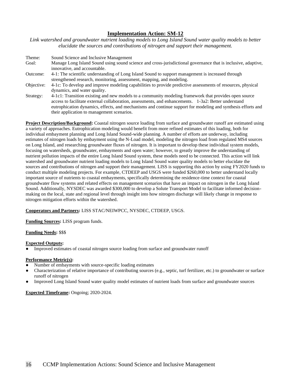*Link watershed and groundwater nutrient loading models to Long Island Sound water quality models to better elucidate the sources and contributions of nitrogen and support their management.*

Theme: Sound Science and Inclusive Management Goal: Manage Long Island Sound using sound science and cross-jurisdictional governance that is inclusive, adaptive, innovative, and accountable. Outcome: 4-1: The scientific understanding of Long Island Sound to support management is increased through strengthened research, monitoring, assessment, mapping, and modeling. Objective: 4-1c: To develop and improve modeling capabilities to provide predictive assessments of resources, physical dynamics, and water quality. Strategy: 4-1c1: Transition existing and new models to a community modeling framework that provides open source access to facilitate external collaboration, assessments, and enhancements. 1-3a2: Better understand

eutrophication dynamics, effects, and mechanisms and continue support for modeling and synthesis efforts and

their application to management scenarios. **Project Description/Background:** Coastal nitrogen source loading from surface and groundwater runoff are estimated using a variety of approaches. Eutrophication modeling would benefit from more refined estimates of this loading, both for individual embayment planning and Long Island Sound-wide planning. A number of efforts are underway, including estimates of nitrogen loads by embayment using the N-Load model, modeling the nitrogen load from regulated MS4 sources on Long Island, and researching groundwater fluxes of nitrogen. It is important to develop these individual system models, focusing on watersheds, groundwater, embayments and open water; however, to greatly improve the understanding of nutrient pollution impacts of the entire Long Island Sound system, these models need to be connected. This action will link watershed and groundwater nutrient loading models to Long Island Sound water quality models to better elucidate the sources and contributions of nitrogen and support their management. LISS is supporting this action by using FY2020 funds to conduct multiple modeling projects. For example, CTDEEP and USGS were funded \$260,000 to better understand locally important source of nutrients to coastal embayments, specifically determining the residence-time context for coastal groundwater flow systems and related effects on management scenarios that have an impact on nitrogen in the Long Island Sound. Additionally, NYSDEC was awarded \$300,000 to develop a Solute Transport Model to facilitate informed decisionmaking on the local, state and regional level through insight into how nitrogen discharge will likely change in response to

nitrogen mitigation efforts within the watershed.

# **Cooperators and Partners:** LISS STAC/NEIWPCC, NYSDEC, CTDEEP, USGS.

**Funding Sources:** LISS program funds.

# **Funding Needs:** \$\$\$

### **Expected Outputs:**

Improved estimates of coastal nitrogen source loading from surface and groundwater runoff

### **Performance Metric(s):**

- Number of embayments with source-specific loading estimates
- Characterization of relative importance of contributing sources (e.g., septic, turf fertilizer, etc.) to groundwater or surface runoff of nitrogen
- Improved Long Island Sound water quality model estimates of nutrient loads from surface and groundwater sources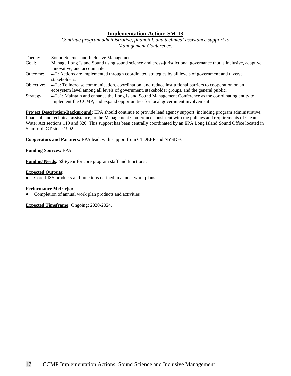*Continue program administrative, financial, and technical assistance support to Management Conference.*

| Theme:     | Sound Science and Inclusive Management                                                                        |
|------------|---------------------------------------------------------------------------------------------------------------|
| Goal:      | Manage Long Island Sound using sound science and cross-jurisdictional governance that is inclusive, adaptive, |
|            | innovative, and accountable.                                                                                  |
| Outcome:   | 4-2: Actions are implemented through coordinated strategies by all levels of government and diverse           |
|            | stakeholders.                                                                                                 |
| Objective: | 4-2a: To increase communication, coordination, and reduce institutional barriers to cooperation on an         |
|            | ecosystem level among all levels of government, stakeholder groups, and the general public.                   |

Strategy: 4-2a1: Maintain and enhance the Long Island Sound Management Conference as the coordinating entity to implement the CCMP, and expand opportunities for local government involvement.

**Project Description/Background:** EPA should continue to provide lead agency support, including program administrative, financial, and technical assistance, to the Management Conference consistent with the policies and requirements of Clean Water Act sections 119 and 320. This support has been centrally coordinated by an EPA Long Island Sound Office located in Stamford, CT since 1992.

**Cooperators and Partners:** EPA lead, with support from CTDEEP and NYSDEC.

### **Funding Sources:** EPA.

**Funding Needs:** \$\$\$/year for core program staff and functions.

### **Expected Outputs:**

Core LISS products and functions defined in annual work plans

### **Performance Metric(s):**

Completion of annual work plan products and activities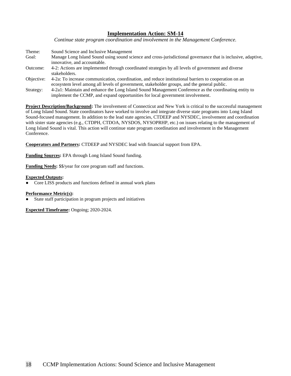*Continue state program coordination and involvement in the Management Conference.*

Theme: Sound Science and Inclusive Management Goal: Manage Long Island Sound using sound science and cross-jurisdictional governance that is inclusive, adaptive, innovative, and accountable. Outcome: 4-2: Actions are implemented through coordinated strategies by all levels of government and diverse stakeholders. Objective: 4-2a: To increase communication, coordination, and reduce institutional barriers to cooperation on an ecosystem level among all levels of government, stakeholder groups, and the general public. Strategy: 4-2a1: Maintain and enhance the Long Island Sound Management Conference as the coordinating entity to implement the CCMP, and expand opportunities for local government involvement.

**Project Description/Background:** The involvement of Connecticut and New York is critical to the successful management of Long Island Sound. State coordinators have worked to involve and integrate diverse state programs into Long Island Sound-focused management. In addition to the lead state agencies, CTDEEP and NYSDEC, involvement and coordination with sister state agencies (e.g., CTDPH, CTDOA, NYSDOS, NYSOPRHP, etc.) on issues relating to the management of Long Island Sound is vital. This action will continue state program coordination and involvement in the Management Conference.

**Cooperators and Partners:** CTDEEP and NYSDEC lead with financial support from EPA.

**Funding Sources:** EPA through Long Island Sound funding.

**Funding Needs:** \$\$/year for core program staff and functions.

### **Expected Outputs:**

Core LISS products and functions defined in annual work plans

### **Performance Metric(s):**

State staff participation in program projects and initiatives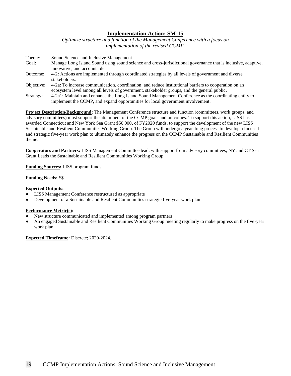*Optimize structure and function of the Management Conference with a focus on implementation of the revised CCMP.* 

| Theme:     | Sound Science and Inclusive Management                                                                        |
|------------|---------------------------------------------------------------------------------------------------------------|
| Goal:      | Manage Long Island Sound using sound science and cross-jurisdictional governance that is inclusive, adaptive, |
|            | innovative, and accountable.                                                                                  |
| Outcome:   | 4-2: Actions are implemented through coordinated strategies by all levels of government and diverse           |
|            | stakeholders.                                                                                                 |
| Objective: | 4-2a: To increase communication, coordination, and reduce institutional barriers to cooperation on an         |
|            | ecosystem level among all levels of government, stakeholder groups, and the general public.                   |
| Strategy:  | 4-2a1: Maintain and enhance the Long Island Sound Management Conference as the coordinating entity to         |
|            | implement the CCMP, and expand opportunities for local government involvement.                                |

**Project Description/Background:** The Management Conference structure and function (committees, work groups, and advisory committees) must support the attainment of the CCMP goals and outcomes. To support this action, LISS has awarded Connecticut and New York Sea Grant \$50,000, of FY2020 funds, to support the development of the new LISS Sustainable and Resilient Communities Working Group. The Group will undergo a year-long process to develop a focused and strategic five-year work plan to ultimately enhance the progress on the CCMP Sustainable and Resilient Communities theme.

**Cooperators and Partners:** LISS Management Committee lead, with support from advisory committees; NY and CT Sea Grant Leads the Sustainable and Resilient Communities Working Group.

**Funding Sources:** LISS program funds.

### **Funding Needs:** \$\$

### **Expected Outputs:**

- **LISS Management Conference restructured as appropriate**
- Development of a Sustainable and Resilient Communities strategic five-year work plan

### **Performance Metric(s):**

- New structure communicated and implemented among program partners
- An engaged Sustainable and Resilient Communities Working Group meeting regularly to make progress on the five-year work plan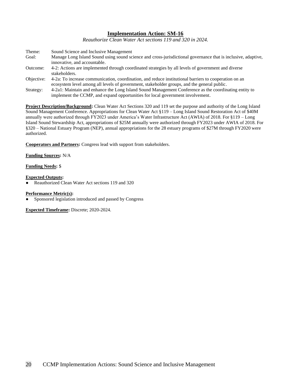*Reauthorize Clean Water Act sections 119 and 320 in 2024.*

| Theme:     | Sound Science and Inclusive Management                                                                        |
|------------|---------------------------------------------------------------------------------------------------------------|
| Goal:      | Manage Long Island Sound using sound science and cross-jurisdictional governance that is inclusive, adaptive, |
|            | innovative, and accountable.                                                                                  |
| Outcome:   | 4-2: Actions are implemented through coordinated strategies by all levels of government and diverse           |
|            | stakeholders.                                                                                                 |
| Objective: | 4-2a: To increase communication, coordination, and reduce institutional barriers to cooperation on an         |
|            | ecosystem level among all levels of government, stakeholder groups, and the general public.                   |
| Strategy:  | 4-2a1: Maintain and enhance the Long Island Sound Management Conference as the coordinating entity to         |
|            | implement the CCMP, and expand opportunities for local government involvement.                                |

**Project Description/Background:** Clean Water Act Sections 320 and 119 set the purpose and authority of the Long Island Sound Management Conference. Appropriations for Clean Water Act §119 – Long Island Sound Restoration Act of \$40M annually were authorized through FY2023 under America's Water Infrastructure Act (AWIA) of 2018. For §119 – Long Island Sound Stewardship Act, appropriations of \$25M annually were authorized through FY2023 under AWIA of 2018. For §320 – National Estuary Program (NEP), annual appropriations for the 28 estuary programs of \$27M through FY2020 were authorized.

**Cooperators and Partners:** Congress lead with support from stakeholders.

# **Funding Sources:** N/A

### **Funding Needs:** \$

### **Expected Outputs:**

Reauthorized Clean Water Act sections 119 and 320

### **Performance Metric(s):**

Sponsored legislation introduced and passed by Congress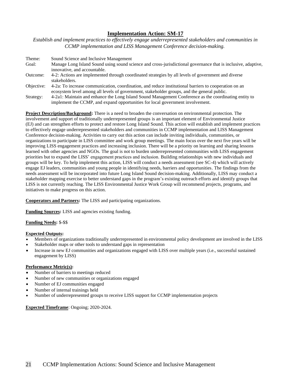*Establish and implement practices to effectively engage underrepresented stakeholders and communities in CCMP implementation and LISS Management Conference decision-making.*

| Theme:     | Sound Science and Inclusive Management                                                                        |
|------------|---------------------------------------------------------------------------------------------------------------|
| Goal:      | Manage Long Island Sound using sound science and cross-jurisdictional governance that is inclusive, adaptive, |
|            | innovative, and accountable.                                                                                  |
| Outcome:   | 4-2: Actions are implemented through coordinated strategies by all levels of government and diverse           |
|            | stakeholders.                                                                                                 |
| Objective: | 4-2a: To increase communication, coordination, and reduce institutional barriers to cooperation on an         |
|            | ecosystem level among all levels of government, stakeholder groups, and the general public.                   |
| Strategy:  | 4-2a1: Maintain and enhance the Long Island Sound Management Conference as the coordinating entity to         |

implement the CCMP, and expand opportunities for local government involvement. **Project Description/Background:** There is a need to broaden the conversation on environmental protection. The

involvement and support of traditionally underrepresented groups is an important element of Environmental Justice (EJ) and can strengthen efforts to protect and restore Long Island Sound. This action will establish and implement practices to effectively engage underrepresented stakeholders and communities in CCMP implementation and LISS Management Conference decision-making. Activities to carry out this action can include inviting individuals, communities, or organizations to participate in LISS committee and work group meetings. The main focus over the next five years will be improving LISS engagement practices and increasing inclusion. There will be a priority on learning and sharing lessons learned with other agencies and NGOs. The goal is not to burden underrepresented communities with LISS engagement priorities but to expand the LISS' engagement practices and inclusion. Building relationships with new individuals and groups will be key. To help implement this action, LISS will conduct a needs assessment (see SC-4) which will actively engage EJ leaders, communities and young people in identifying needs, barriers and opportunities. The findings from the needs assessment will be incorporated into future Long Island Sound decision-making. Additionally, LISS may conduct a stakeholder mapping exercise to better understand gaps in the program's existing outreach efforts and identify groups that LISS is not currently reaching. The LISS Environmental Justice Work Group will recommend projects, programs, and initiatives to make progress on this action.

**Cooperators and Partners:** The LISS and participating organizations.

**Funding Sources:** LISS and agencies existing funding.

**Funding Needs:** \$-\$\$

# **Expected Outputs:**

- Members of organizations traditionally underrepresented in environmental policy development are involved in the LISS
- Stakeholder maps or other tools to understand gaps in representation
- Increase in new EJ communities and organizations engaged with LISS over multiple years (i.e., successful sustained engagement by LISS)

### **Performance Metric(s):**

- Number of barriers to meetings reduced
- Number of new communities or organizations engaged
- Number of EJ communities engaged
- Number of internal trainings held
- Number of underrepresented groups to receive LISS support for CCMP implementation projects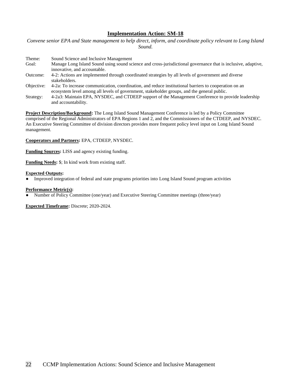*Convene senior EPA and State management to help direct, inform, and coordinate policy relevant to Long Island Sound.*

| Theme:               | Sound Science and Inclusive Management                                                                        |
|----------------------|---------------------------------------------------------------------------------------------------------------|
| Goal:                | Manage Long Island Sound using sound science and cross-jurisdictional governance that is inclusive, adaptive, |
|                      | innovative, and accountable.                                                                                  |
| Outcome:             | 4-2: Actions are implemented through coordinated strategies by all levels of government and diverse           |
|                      | stakeholders.                                                                                                 |
| Objective:           | 4-2a: To increase communication, coordination, and reduce institutional barriers to cooperation on an         |
|                      | ecosystem level among all levels of government, stakeholder groups, and the general public.                   |
| C <sub>tration</sub> | 4.2.3. Maintain EDA, NVSDEC, and CTDEED support of the Managament Conference to provide leadership            |

Strategy: 4-2a3: Maintain EPA, NYSDEC, and CTDEEP support of the Management Conference to provide leadership and accountability.

**Project Description/Background:** The Long Island Sound Management Conference is led by a Policy Committee comprised of the Regional Administrators of EPA Regions 1 and 2, and the Commissioners of the CTDEEP, and NYSDEC. An Executive Steering Committee of division directors provides more frequent policy level input on Long Island Sound management.

**Cooperators and Partners:** EPA, CTDEEP, NYSDEC.

**Funding Sources:** LISS and agency existing funding.

**Funding Needs:** \$; In kind work from existing staff.

### **Expected Outputs:**

Improved integration of federal and state programs priorities into Long Island Sound program activities

### **Performance Metric(s):**

Number of Policy Committee (one/year) and Executive Steering Committee meetings (three/year)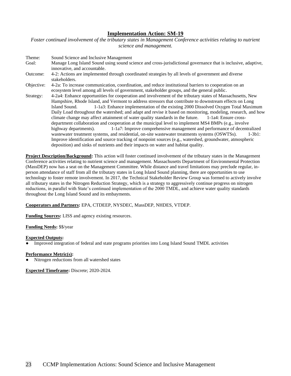*Foster continued involvement of the tributary states in Management Conference activities relating to nutrient science and management.*

| Theme:     | Sound Science and Inclusive Management                                                                        |
|------------|---------------------------------------------------------------------------------------------------------------|
| Goal:      | Manage Long Island Sound using sound science and cross-jurisdictional governance that is inclusive, adaptive, |
|            | innovative, and accountable.                                                                                  |
| Outcome:   | 4-2: Actions are implemented through coordinated strategies by all levels of government and diverse           |
|            | stakeholders.                                                                                                 |
| Objective: | 4-2a: To increase communication, coordination, and reduce institutional barriers to cooperation on an         |
|            | ecosystem level among all levels of government, stakeholder groups, and the general public.                   |
| Strategy:  | 4-2a4: Enhance opportunities for cooperation and involvement of the tributary states of Massachusetts, New    |
|            | Hampshire, Rhode Island, and Vermont to address stressors that contribute to downstream effects on Long       |
|            | 1-1a3: Enhance implementation of the existing 2000 Dissolved Oxygen Total Maximum<br>Island Sound.            |
|            | Daily Load throughout the watershed; and adapt and revise it based on monitoring, modeling, research, and how |
|            | climate change may affect attainment of water quality standards in the future. 1-1a4: Ensure cross-           |
|            | department collaboration and cooperation at the municipal level to implement MS4 BMPs (e.g., involve          |
|            | 1-1a7: Improve comprehensive management and performance of decentralized<br>highway departments).             |
|            | wastewater treatment systems, and residential, on-site wastewater treatments systems (OSWTSs).<br>$1-3b1$ :   |
|            | Improve identification and source tracking of nonpoint sources (e.g., watershed, groundwater, atmospheric     |
|            | deposition) and sinks of nutrients and their impacts on water and habitat quality.                            |

**Project Description/Background:** This action will foster continued involvement of the tributary states in the Management Conference activities relating to nutrient science and management. Massachusetts Department of Environmental Protection (MassDEP) now has a seat on the Management Committee. While distance and travel limitations may preclude regular, inperson attendance of staff from all the tributary states in Long Island Sound planning, there are opportunities to use technology to foster remote involvement. In 2017, the Technical Stakeholder Review Group was formed to actively involve all tributary states in the Nitrogen Reduction Strategy, which is a strategy to aggressively continue progress on nitrogen reductions, in parallel with State's continued implementation of the 2000 TMDL, and achieve water quality standards throughout the Long Island Sound and its embayments.

# **Cooperators and Partners:** EPA, CTDEEP, NYSDEC, MassDEP, NHDES, VTDEP.

**Funding Sources:** LISS and agency existing resources.

# **Funding Needs:** \$\$/year

### **Expected Outputs:**

Improved integration of federal and state programs priorities into Long Island Sound TMDL activities

### **Performance Metric(s):**

Nitrogen reductions from all watershed states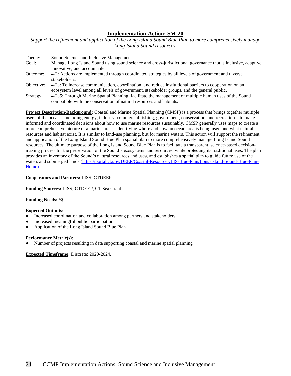*Support the refinement and application of the Long Island Sound Blue Plan to more comprehensively manage Long Island Sound resources.*

| Theme:     | Sound Science and Inclusive Management                                                                        |
|------------|---------------------------------------------------------------------------------------------------------------|
| Goal:      | Manage Long Island Sound using sound science and cross-jurisdictional governance that is inclusive, adaptive, |
|            | innovative, and accountable.                                                                                  |
| Outcome:   | 4-2: Actions are implemented through coordinated strategies by all levels of government and diverse           |
|            | stakeholders.                                                                                                 |
| Objective: | 4-2a: To increase communication, coordination, and reduce institutional barriers to cooperation on an         |
|            | ecosystem level among all levels of government, stakeholder groups, and the general public.                   |
| Strategy:  | 4-2a5: Through Marine Spatial Planning, facilitate the management of multiple human uses of the Sound         |
|            | compatible with the conservation of natural resources and habitats.                                           |

**Project Description/Background:** Coastal and Marine Spatial Planning (CMSP) is a process that brings together multiple users of the ocean—including energy, industry, commercial fishing, government, conservation, and recreation—to make informed and coordinated decisions about how to use marine resources sustainably. CMSP generally uses maps to create a more comprehensive picture of a marine area—identifying where and how an ocean area is being used and what natural resources and habitat exist. It is similar to land-use planning, but for marine waters. This action will support the refinement and application of the Long Island Sound Blue Plan spatial plan to more comprehensively manage Long Island Sound resources. The ultimate purpose of the Long Island Sound Blue Plan is to facilitate a transparent, science-based decisionmaking process for the preservation of the Sound's ecosystems and resources, while protecting its traditional uses. The plan provides an inventory of the Sound's natural resources and uses, and establishes a spatial plan to guide future use of the waters and submerged lands [\(https://portal.ct.gov/DEEP/Coastal-Resources/LIS-Blue-Plan/Long-Island-Sound-Blue-Plan-](https://portal.ct.gov/DEEP/Coastal-Resources/LIS-Blue-Plan/Long-Island-Sound-Blue-Plan-Home)[Home\)](https://portal.ct.gov/DEEP/Coastal-Resources/LIS-Blue-Plan/Long-Island-Sound-Blue-Plan-Home).

# **Cooperators and Partners:** LISS, CTDEEP.

**Funding Sources:** LISS, CTDEEP, CT Sea Grant.

# **Funding Needs:** \$\$

# **Expected Outputs:**

- Increased coordination and collaboration among partners and stakeholders
- Increased meaningful public participation
- Application of the Long Island Sound Blue Plan

### **Performance Metric(s):**

Number of projects resulting in data supporting coastal and marine spatial planning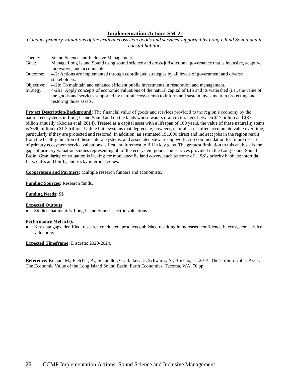*Conduct primary valuations of the critical ecosystem goods and services supported by Long Island Sound and its coastal habitats.*

| Theme:        | Sound Science and Inclusive Management                                                                        |
|---------------|---------------------------------------------------------------------------------------------------------------|
| Goal:         | Manage Long Island Sound using sound science and cross-jurisdictional governance that is inclusive, adaptive, |
|               | innovative, and accountable.                                                                                  |
| Outcome:      | 4-2: Actions are implemented through coordinated strategies by all levels of government and diverse           |
|               | stakeholders.                                                                                                 |
| $\sim$ $\sim$ |                                                                                                               |

Objective: 4-2b: To maintain and enhance efficient public investments in restoration and management.

Strategy: 4-2b1: Apply concepts of economic valuations of the natural capital of LIS and its watershed (i.e., the value of the goods and services supported by natural ecosystems) to inform and sustain investment in protecting and restoring those assets.

**Project Description/Background:** The financial value of goods and services provided to the region's economy by the natural ecosystems in Long Island Sound and on the lands whose waters drain to it ranges between \$17 billion and \$37 billion annually (Kocian et al. 2014). Treated as a capital asset with a lifespan of 100 years, the value of these natural systems is \$690 billion to \$1.3 trillion. Unlike built systems that depreciate, however, natural assets often accumulate value over time, particularly if they are protected and restored. In addition, an estimated 191,000 direct and indirect jobs in the region result from the healthy function of these natural systems, and associated stewardship work. A recommendation for future research of primary ecosystem service valuations is first and foremost to fill in key gaps. The greatest limitation to this analysis is the gaps of primary valuation studies representing all of the ecosystem goods and services provided in the Long Island Sound Basin. Granularity on valuation is lacking for more specific land covers, such as some of LISS's priority habitats: intertidal flats, cliffs and bluffs, and rocky intertidal zones.

**Cooperators and Partners:** Multiple research funders and economists.

**Funding Sources:** Research funds.

# **Funding Needs:** \$\$

# **Expected Outputs:**

Studies that identify Long Island Sound-specific valuations

### **Performance Metric(s):**

Key data gaps identified, research conducted, products published resulting in increased confidence in ecosystem service valuations

**Expected Timeframe:** Discrete; 2020-2024.

**\_\_\_\_\_\_\_\_\_\_\_\_\_\_\_\_\_\_\_\_\_\_\_\_\_\_\_\_\_\_\_\_\_\_**

**Reference:** Kocian, M., Fletcher, A., Schundler, G., Batker, D., Schwartz, A., Briceno, T., 2014. The Trillion Dollar Asset: The Economic Value of the Long Island Sound Basin. Earth Economics, Tacoma, WA, 76 pp.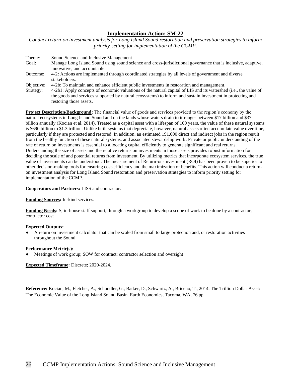*Conduct return-on investment analysis for Long Island Sound restoration and preservation strategies to inform priority-setting for implementation of the CCMP.*

| Theme:     | Sound Science and Inclusive Management                                                                           |
|------------|------------------------------------------------------------------------------------------------------------------|
| Goal:      | Manage Long Island Sound using sound science and cross-jurisdictional governance that is inclusive, adaptive,    |
|            | innovative, and accountable.                                                                                     |
| Outcome:   | 4-2: Actions are implemented through coordinated strategies by all levels of government and diverse              |
|            | stakeholders.                                                                                                    |
| Objective: | 4-2b: To maintain and enhance efficient public investments in restoration and management.                        |
| Strategy:  | 4-2b1: Apply concepts of economic valuations of the natural capital of LIS and its watershed (i.e., the value of |

the goods and services supported by natural ecosystems) to inform and sustain investment in protecting and restoring those assets.

**Project Description/Background:** The financial value of goods and services provided to the region's economy by the natural ecosystems in Long Island Sound and on the lands whose waters drain to it ranges between \$17 billion and \$37 billion annually (Kocian et al. 2014). Treated as a capital asset with a lifespan of 100 years, the value of these natural systems is \$690 billion to \$1.3 trillion. Unlike built systems that depreciate, however, natural assets often accumulate value over time, particularly if they are protected and restored. In addition, an estimated 191,000 direct and indirect jobs in the region result from the healthy function of these natural systems, and associated stewardship work. Private or public understanding of the rate of return on investments is essential to allocating capital efficiently to generate significant and real returns. Understanding the size of assets and the relative returns on investments in those assets provides robust information for deciding the scale of and potential returns from investment. By utilizing metrics that incorporate ecosystem services, the true value of investments can be understood. The measurement of Return-on-Investment (ROI) has been proven to be superior to other decision-making tools for ensuring cost-efficiency and the maximization of benefits. This action will conduct a returnon investment analysis for Long Island Sound restoration and preservation strategies to inform priority setting for implementation of the CCMP.

### **Cooperators and Partners:** LISS and contractor.

### **Funding Sources:** In-kind services.

**Funding Needs:** \$; in-house staff support, through a workgroup to develop a scope of work to be done by a contractor, contractor cost

### **Expected Outputs:**

A return on investment calculator that can be scaled from small to large protection and, or restoration activities throughout the Sound

#### **Performance Metric(s):**

Meetings of work group; SOW for contract; contractor selection and oversight

**Expected Timeframe:** Discrete; 2020-2024.

**\_\_\_\_\_\_\_\_\_\_\_\_\_\_\_\_\_\_\_\_\_\_\_\_\_\_\_\_\_\_\_\_\_\_**

**Reference:** Kocian, M., Fletcher, A., Schundler, G., Batker, D., Schwartz, A., Briceno, T., 2014. The Trillion Dollar Asset: The Economic Value of the Long Island Sound Basin. Earth Economics, Tacoma, WA, 76 pp.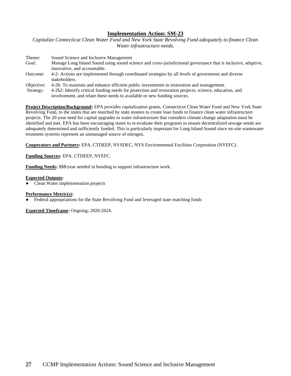*Capitalize Connecticut Clean Water Fund and New York State Revolving Fund adequately to finance Clean Water infrastructure needs.*

| Theme:     | Sound Science and Inclusive Management                                                                        |
|------------|---------------------------------------------------------------------------------------------------------------|
| Goal:      | Manage Long Island Sound using sound science and cross-jurisdictional governance that is inclusive, adaptive, |
|            | innovative, and accountable.                                                                                  |
| Outcome:   | 4-2: Actions are implemented through coordinated strategies by all levels of government and diverse           |
|            | stakeholders.                                                                                                 |
| Objective: | 4-2b: To maintain and enhance efficient public investments in restoration and management.                     |
|            |                                                                                                               |

Strategy: 4-2b2: Identify critical funding needs for protection and restoration projects, science, education, and involvement, and relate these needs to available or new funding sources.

**Project Description/Background:** EPA provides capitalization grants, Connecticut Clean Water Fund and New York State Revolving Fund, to the states that are matched by state monies to create loan funds to finance clean water infrastructure projects. The 20-year need for capital upgrades to water infrastructure that considers climate change adaptation must be identified and met. EPA has been encouraging states to re-evaluate their programs to ensure decentralized sewage needs are adequately determined and sufficiently funded. This is particularly important for Long Island Sound since on-site wastewater treatment systems represent an unmanaged source of nitrogen.

**Cooperators and Partners:** EPA, CTDEEP, NYSDEC, NYS Environmental Facilities Corporation (NYEFC).

**Funding Sources:** EPA, CTDEEP, NYEFC.

**Funding Needs:** \$\$\$/year needed in bonding to support infrastructure work.

### **Expected Outputs:**

Clean Water implementation projects

# **Performance Metric(s):**

Federal appropriations for the State Revolving Fund and leveraged state matching funds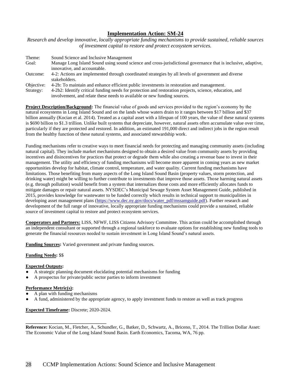*Research and develop innovative, locally appropriate funding mechanisms to provide sustained, reliable sources of investment capital to restore and protect ecosystem services.*

| Theme:     | Sound Science and Inclusive Management                                                                        |
|------------|---------------------------------------------------------------------------------------------------------------|
| Goal:      | Manage Long Island Sound using sound science and cross-jurisdictional governance that is inclusive, adaptive, |
|            | innovative, and accountable.                                                                                  |
| Outcome:   | 4-2: Actions are implemented through coordinated strategies by all levels of government and diverse           |
|            | stakeholders.                                                                                                 |
| Objective: | 4-2b: To maintain and enhance efficient public investments in restoration and management.                     |
| Strategy:  | 4-2b2: Identify critical funding needs for protection and restoration projects, science, education, and       |

involvement, and relate these needs to available or new funding sources.

**Project Description/Background:** The financial value of goods and services provided to the region's economy by the natural ecosystems in Long Island Sound and on the lands whose waters drain to it ranges between \$17 billion and \$37 billion annually (Kocian et al. 2014). Treated as a capital asset with a lifespan of 100 years, the value of these natural systems is \$690 billion to \$1.3 trillion. Unlike built systems that depreciate, however, natural assets often accumulate value over time, particularly if they are protected and restored. In addition, an estimated 191,000 direct and indirect jobs in the region result from the healthy function of these natural systems, and associated stewardship work.

Funding mechanisms refer to creative ways to meet financial needs for protecting and managing community assets (including natural capital). They include market mechanisms designed to obtain a desired value from community assets by providing incentives and disincentives for practices that protect or degrade them while also creating a revenue base to invest in their management. The utility and efficiency of funding mechanisms will become more apparent in coming years as new market opportunities develop for habitat, climate control, temperature, and water quality. Current funding mechanisms have limitations. Those benefiting from many aspects of the Long Island Sound Basin (property values, storm protection, and drinking water) might be willing to further contribute to investments that improve those assets. Those harming natural assets (e.g. through pollution) would benefit from a system that internalizes those costs and more efficiently allocates funds to mitigate damages or repair natural assets. NYSDEC's Municipal Sewage System Asset Management Guide, published in 2015, provides knowledge for wastewater to be funded correctly which results in technical support to municipalities in developing asset management plans [\(https://www.dec.ny.gov/docs/water\\_pdf/mssamguide.pdf\)](https://www.dec.ny.gov/docs/water_pdf/mssamguide.pdf). Further research and development of the full range of innovative, locally appropriate funding mechanisms could provide a sustained, reliable source of investment capital to restore and protect ecosystem services.

**Cooperators and Partners:** LISS, NFWF, LISS Citizens Advisory Committee. This action could be accomplished through an independent consultant or supported through a regional taskforce to evaluate options for establishing new funding tools to generate the financial resources needed to sustain investment in Long Island Sound's natural assets.

**Funding Sources:** Varied government and private funding sources.

# **Funding Needs:** \$\$

# **Expected Outputs:**

- A strategic planning document elucidating potential mechanisms for funding
- A prospectus for private/public sector parties to inform investment

# **Performance Metric(s):**

- A plan with funding mechanisms
- A fund, administered by the appropriate agency, to apply investment funds to restore as well as track progress

# **Expected Timeframe:** Discrete; 2020-2024.

**\_\_\_\_\_\_\_\_\_\_\_\_\_\_\_\_\_\_\_\_\_\_\_\_\_\_\_\_\_\_\_\_\_\_**

**Reference:** Kocian, M., Fletcher, A., Schundler, G., Batker, D., Schwartz, A., Briceno, T., 2014. The Trillion Dollar Asset: The Economic Value of the Long Island Sound Basin. Earth Economics, Tacoma, WA, 76 pp.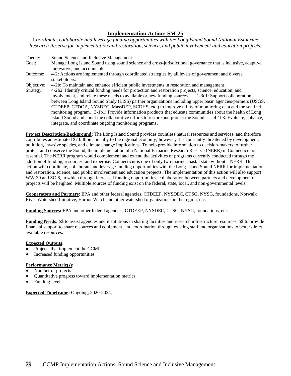*Coordinate, collaborate and leverage funding opportunities with the Long Island Sound National Estuarine Research Reserve for implementation and restoration, science, and public involvement and education projects.* 

Theme: Sound Science and Inclusive Management Goal: Manage Long Island Sound using sound science and cross-jurisdictional governance that is inclusive, adaptive, innovative, and accountable. Outcome: 4-2: Actions are implemented through coordinated strategies by all levels of government and diverse stakeholders. Objective: 4-2b: To maintain and enhance efficient public investments in restoration and management. Strategy: 4-2b2: Identify critical funding needs for protection and restoration projects, science, education, and involvement, and relate these needs to available or new funding sources. 1-3c1: Support collaboration between Long Island Sound Study (LISS) partner organizations including upper basin agencies/partners (USGS, CTDEEP, CTDOA, NYSDEC, MassDEP, SCDHS, etc.) to improve utility of monitoring data and the sentinel monitoring program. 3-1b1: Provide information products that educate communities about the health of Long

Island Sound and about the collaborative efforts to restore and protect the Sound. 4-1b3: Evaluate, enhance,

**Project Description/Background:** The Long Island Sound provides countless natural resources and services, and therefore contributes an estimated \$7 billion annually to the regional economy; however, it is constantly threatened by development, pollution, invasive species, and climate change implications. To help provide information to decision-makers to further protect and conserve the Sound, the implementation of a National Estuarine Research Reserve (NERR) in Connecticut is essential. The NERR program would complement and extend the activities of programs currently conducted through the addition of funding, resources, and expertise. Connecticut is one of only two marine coastal state without a NERR. This action will coordinate, collaborate and leverage funding opportunities with the Long Island Sound NERR for implementation and restoration, science, and public involvement and education projects. The implementation of this action will also support WW-39 and SC-8, in which through increased funding opportunities, collaboration between partners and development of projects will be heighted. Multiple sources of funding exist on the federal, state, local, and non-governmental levels.

**Cooperators and Partners:** EPA and other federal agencies, CTDEEP, NYSDEC, CTSG, NYSG, foundations, Norwalk River Watershed Initiative, Harbor Watch and other watershed organizations in the region, etc.

**Funding Sources:** EPA and other federal agencies, CTDEEP, NYSDEC, CTSG, NYSG, foundations, etc.

integrate, and coordinate ongoing monitoring programs.

**Funding Needs:** \$\$ to assist agencies and institutions in sharing facilities and research infrastructure resources, \$\$ to provide financial support to share resources and equipment, and coordination through existing staff and organizations to better direct available resources.

### **Expected Outputs:**

- Projects that implement the CCMP
- Increased funding opportunities

# **Performance Metric(s):**

- Number of projects
- Quantitative progress toward implementation metrics
- Funding level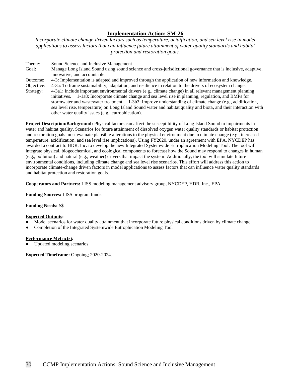*Incorporate climate change-driven factors such as temperature, acidification, and sea level rise in model applications to assess factors that can influence future attainment of water quality standards and habitat protection and restoration goals.*

Theme: Sound Science and Inclusive Management Goal: Manage Long Island Sound using sound science and cross-jurisdictional governance that is inclusive, adaptive, innovative, and accountable. Outcome: 4-3: Implementation is adapted and improved through the application of new information and knowledge. Objective: 4-3a: To frame sustainability, adaptation, and resilience in relation to the drivers of ecosystem change.

Strategy: 4-3a1: Include important environmental drivers (e.g., climate change) in all relevant management planning initiatives. 1-1a8: Incorporate climate change and sea level rise in planning, regulation, and BMPs for stormwater and wastewater treatment. 1-3b3: Improve understanding of climate change (e.g., acidification, sea level rise, temperature) on Long Island Sound water and habitat quality and biota, and their interaction with other water quality issues (e.g., eutrophication).

**Project Description/Background:** Physical factors can affect the susceptibility of Long Island Sound to impairments in water and habitat quality. Scenarios for future attainment of dissolved oxygen water quality standards or habitat protection and restoration goals must evaluate plausible alterations to the physical environment due to climate change (e.g., increased temperature, acidification, and sea level rise implications). Using FY2020, under an agreement with EPA, NYCDEP has awarded a contract to HDR, Inc. to develop the new Integrated Systemwide Eutrophication Modeling Tool. The tool will integrate physical, biogeochemical, and ecological components to forecast how the Sound may respond to changes in human (e.g., pollution) and natural (e.g., weather) drivers that impact the system. Additionally, the tool will simulate future environmental conditions, including climate change and sea level rise scenarios. This effort will address this action to incorporate climate-change driven factors in model applications to assess factors that can influence water quality standards and habitat protection and restoration goals.

**Cooperators and Partners:** LISS modeling management advisory group, NYCDEP, HDR, Inc., EPA.

**Funding Sources:** LISS program funds.

**Funding Needs:** \$\$

# **Expected Outputs:**

- Model scenarios for water quality attainment that incorporate future physical conditions driven by climate change
- Completion of the Integrated Systemwide Eutrophication Modeling Tool

# **Performance Metric(s):**

Updated modeling scenarios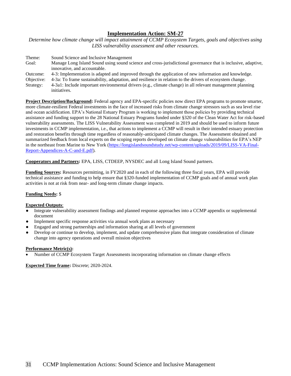*Determine how climate change will impact attainment of CCMP Ecosystem Targets, goals and objectives using LISS vulnerability assessment and other resources.*

| Theme:     | Sound Science and Inclusive Management                                                                          |
|------------|-----------------------------------------------------------------------------------------------------------------|
| Goal:      | Manage Long Island Sound using sound science and cross-jurisdictional governance that is inclusive, adaptive,   |
|            | innovative, and accountable.                                                                                    |
| Outcome:   | 4-3: Implementation is adapted and improved through the application of new information and knowledge.           |
| Objective: | 4-3a: To frame sustainability, adaptation, and resilience in relation to the drivers of ecosystem change.       |
| Straterov  | $\pm$ 4-3a1; Include important environmental drivers (e.g., climate change) in all relevant management planning |

Strategy: 4-3a1: Include important environmental drivers (e.g., climate change) in all relevant management planning initiatives.

**Project Description/Background:** Federal agency and EPA-specific policies now direct EPA programs to promote smarter, more climate-resilient Federal investments in the face of increased risks from climate change stressors such as sea level rise and ocean acidification. EPA's National Estuary Program is working to implement those policies by providing technical assistance and funding support to the 28 National Estuary Programs funded under §320 of the Clean Water Act for risk-based vulnerability assessments. The LISS Vulnerability Assessment was completed in 2019 and should be used to inform future investments in CCMP implementation, i.e., that actions to implement a CCMP will result in their intended estuary protection and restoration benefits through time regardless of reasonably-anticipated climate changes. The Assessment obtained and summarized feedback from local experts on the scoping reports developed on climate change vulnerabilities for EPA's NEP in the northeast from Marine to New York [\(https://longislandsoundstudy.net/wp-content/uploads/2019/09/LISS-VA-Final-](https://longislandsoundstudy.net/wp-content/uploads/2019/09/LISS-VA-Final-Report-Appendices-A-C-and-E.pdf)[Report-Appendices-A-C-and-E.pdf\)](https://longislandsoundstudy.net/wp-content/uploads/2019/09/LISS-VA-Final-Report-Appendices-A-C-and-E.pdf).

**Cooperators and Partners:** EPA, LISS, CTDEEP, NYSDEC and all Long Island Sound partners.

**Funding Sources:** Resources permitting, in FY2020 and in each of the following three fiscal years, EPA will provide technical assistance and funding to help ensure that §320-funded implementation of CCMP goals and of annual work plan activities is not at risk from near- and long-term climate change impacts.

# **Funding Needs:** \$

### **Expected Outputs**:

- Integrate vulnerability assessment findings and planned response approaches into a CCMP appendix or supplemental document
- Implement specific response activities via annual work plans as necessary
- Engaged and strong partnerships and information sharing at all levels of government
- Develop or continue to develop, implement, and update comprehensive plans that integrate consideration of climate change into agency operations and overall mission objectives

### **Performance Metric(s):**

• Number of CCMP Ecosystem Target Assessments incorporating information on climate change effects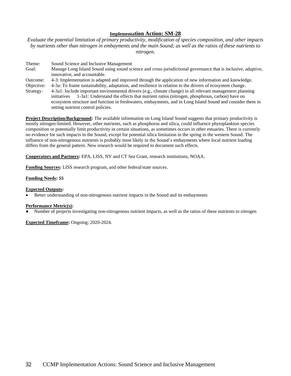*Evaluate the potential limitation of primary productivity, modification of species composition, and other impacts by nutrients other than nitrogen in embayments and the main Sound; as well as the ratios of these nutrients to nitrogen.*

Theme: Sound Science and Inclusive Management

Goal: Manage Long Island Sound using sound science and cross-jurisdictional governance that is inclusive, adaptive, innovative, and accountable.

Outcome: 4-3: Implementation is adapted and improved through the application of new information and knowledge.

Objective: 4-3a: To frame sustainability, adaptation, and resilience in relation to the drivers of ecosystem change.

Strategy: 4-3a1: Include important environmental drivers (e.g., climate change) in all relevant management planning initiatives 1-3a1: Understand the effects that nutrient ratios (nitrogen, phosphrous, carbon) have on ecosystem structure and function in freshwaters, embayments, and in Long Island Sound and consider them in setting nutrient control policies.

**Project Description/Background:** The available information on Long Island Sound suggests that primary productivity is mostly nitrogen-limited. However, other nutrients, such as phosphorus and silica, could influence phytoplankton species composition or potentially limit productivity in certain situations, as sometimes occurs in other estuaries. There is currently no evidence for such impacts in the Sound, except for potential silica limitation in the spring in the western Sound. The influence of non-nitrogenous nutrients is probably most likely in the Sound's embayments where local nutrient loading differs from the general pattern. New research would be required to document such effects.

**Cooperators and Partners:** EPA, LISS, NY and CT Sea Grant, research institutions, NOAA.

**Funding Sources:** LISS research program, and other federal/state sources.

### **Funding Needs:** \$\$

### **Expected Outputs:**

• Better understanding of non-nitrogenous nutrient impacts in the Sound and its embayments

# **Performance Metric(s):**

Number of projects investigating non-nitrogenous nutrient impacts, as well as the ratios of these nutrients to nitrogen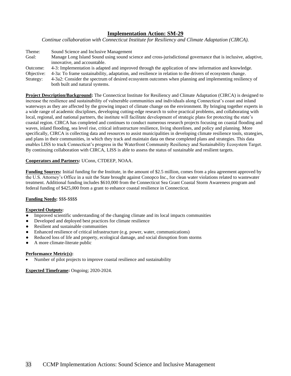*Continue collaboration with Connecticut Institute for Resiliency and Climate Adaptation (CIRCA).* 

Theme: Sound Science and Inclusive Management Goal: Manage Long Island Sound using sound science and cross-jurisdictional governance that is inclusive, adaptive, innovative, and accountable. Outcome: 4-3: Implementation is adapted and improved through the application of new information and knowledge. Objective: 4-3a: To frame sustainability, adaptation, and resilience in relation to the drivers of ecosystem change. Strategy: 4-3a2: Consider the spectrum of desired ecosystem outcomes when planning and implementing resiliency of both built and natural systems.

**Project Description/Background:** The Connecticut Institute for Resiliency and Climate Adaptation (CIRCA) is designed to increase the resilience and sustainability of vulnerable communities and individuals along Connecticut's coast and inland waterways as they are affected by the growing impact of climate change on the environment. By bringing together experts in a wide range of academic disciplines, developing cutting-edge research to solve practical problems, and collaborating with local, regional, and national partners, the institute will facilitate development of strategic plans for protecting the state's coastal region. CIRCA has completed and continues to conduct numerous research projects focusing on coastal flooding and waves, inland flooding, sea level rise, critical infrastructure resilience, living shorelines, and policy and planning. More specifically, CIRCA is collecting data and resources to assist municipalities in developing climate resilience tools, strategies, and plans in their communities, in which they track and maintain data on these completed plans and strategies. This data enables LISS to track Connecticut's progress in the Waterfront Community Resiliency and Sustainability Ecosystem Target. By continuing collaboration with CIRCA, LISS is able to assess the status of sustainable and resilient targets.

# **Cooperators and Partners:** UConn, CTDEEP, NOAA.

**Funding Sources:** Initial funding for the Institute, in the amount of \$2.5 million, comes from a plea agreement approved by the U.S. Attorney's Office in a suit the State brought against Conopco Inc., for clean water violations related to wastewater treatment. Additional funding includes \$610,000 from the Connecticut Sea Grant Coastal Storm Awareness program and federal funding of \$425,000 from a grant to enhance coastal resilience in Connecticut.

# **Funding Needs:** \$\$\$-\$\$\$\$

# **Expected Outputs:**

- Improved scientific understanding of the changing climate and its local impacts communities
- Developed and deployed best practices for climate resilience
- Resilient and sustainable communities
- Enhanced resilience of critical infrastructure (e.g. power, water, communications)
- Reduced loss of life and property, ecological damage, and social disruption from storms
- A more climate-literate public

# **Performance Metric(s):**

• Number of pilot projects to improve coastal resilience and sustainability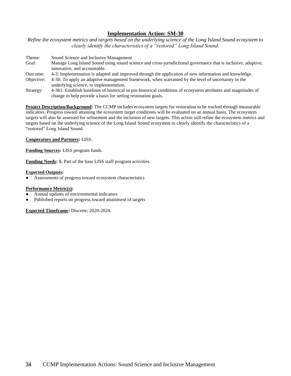*Refine the ecosystem metrics and targets based on the underlying science of the Long Island Sound ecosystem to clearly identify the characteristics of a "restored" Long Island Sound.*

| Theme:     | Sound Science and Inclusive Management                                                                        |
|------------|---------------------------------------------------------------------------------------------------------------|
| Goal:      | Manage Long Island Sound using sound science and cross-jurisdictional governance that is inclusive, adaptive, |
|            | innovative, and accountable.                                                                                  |
| Outcome:   | 4-3: Implementation is adapted and improved through the application of new information and knowledge.         |
| Objective: | 4-3b: To apply an adaptive management framework, when warranted by the level of uncertainty in the            |
|            | underlying science, to implementation.                                                                        |
|            |                                                                                                               |

Strategy: 4-3b1: Establish baselines of historical or pre-historical conditions of ecosystem attributes and magnitudes of change to help provide a basis for setting restoration goals.

**Project Description/Background:** The CCMP includes ecosystem targets for restoration to be tracked through measurable indicators. Progress toward attaining the ecosystem target conditions will be evaluated on an annual basis. The ecosystem targets will also be assessed for refinement and the inclusion of new targets. This action will refine the ecosystem metrics and targets based on the underlying science of the Long Island Sound ecosystem to clearly identify the characteristics of a "restored" Long Island Sound.

# **Cooperators and Partners:** LISS.

**Funding Sources:** LISS program funds.

**Funding Needs:** \$; Part of the base LISS staff program activities.

# **Expected Outputs:**

Assessments of progress toward ecosystem characteristics

# **Performance Metric(s):**

- Annual updates of environmental indicators
- Published reports on progress toward attainment of targets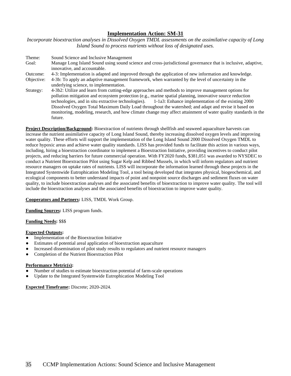*Incorporate bioextraction analyses in Dissolved Oxygen TMDL assessments on the assimilative capacity of Long Island Sound to process nutrients without loss of designated uses.*

Theme: Sound Science and Inclusive Management Goal: Manage Long Island Sound using sound science and cross-jurisdictional governance that is inclusive, adaptive, innovative, and accountable. Outcome: 4-3: Implementation is adapted and improved through the application of new information and knowledge. Objective: 4-3b: To apply an adaptive management framework, when warranted by the level of uncertainty in the underlying science, to implementation. Strategy: 4-3b2: Utilize and learn from cutting-edge approaches and methods to improve management options for pollution mitigation and ecosystem protection (e.g., marine spatial planning, innovative source reduction technologies, and in situ extractive technologies). 1-1a3: Enhance implementation of the existing 2000 Dissolved Oxygen Total Maximum Daily Load throughout the watershed; and adapt and revise it based on monitoring, modeling, research, and how climate change may affect attainment of water quality standards in the future.

**Project Description/Background:** Bioextraction of nutrients through shellfish and seaweed aquaculture harvests can increase the nutrient assimilative capacity of Long Island Sound, thereby increasing dissolved oxygen levels and improving water quality. These efforts will support the implementation of the Long Island Sound 2000 Dissolved Oxygen TMDL to reduce hypoxic areas and achieve water quality standards. LISS has provided funds to facilitate this action in various ways, including, hiring a bioextraction coordinator to implement a Bioextraction Initiative, providing incentives to conduct pilot projects, and reducing barriers for future commercial operation. With FY2020 funds, \$381,051 was awarded to NYSDEC to conduct a Nutrient Bioextraction Pilot using Sugar Kelp and Ribbed Mussels, in which will inform regulators and nutrient resource managers on uptake rates of nutrients. LISS will incorporate the information learned through these projects in the Integrated Systemwide Eutrophication Modeling Tool, a tool being developed that integrates physical, biogeochemical, and ecological components to better understand impacts of point and nonpoint source discharges and sediment fluxes on water quality, to include bioextraction analyses and the associated benefits of bioextraction to improve water quality. The tool will include the bioextraction analyses and the associated benefits of bioextraction to improve water quality.

**Cooperators and Partners:** LISS, TMDL Work Group.

**Funding Sources:** LISS program funds.

**Funding Needs:** \$\$\$

# **Expected Outputs:**

- Implementation of the Bioextraction Initiative
- Estimates of potential areal application of bioextraction aquaculture
- Increased dissemination of pilot study results to regulators and nutrient resource managers
- Completion of the Nutrient Bioextraction Pilot

# **Performance Metric(s):**

- Number of studies to estimate bioextraction potential of farm-scale operations
- Update to the Integrated Systemwide Eutrophication Modeling Tool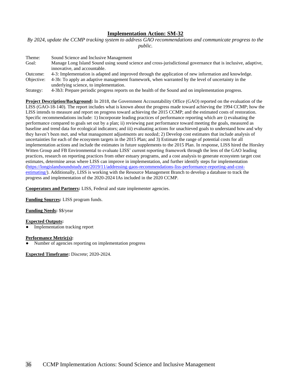*By 2024, update the CCMP tracking system to address GAO recommendations and communicate progress to the public.*

Theme: Sound Science and Inclusive Management Goal: Manage Long Island Sound using sound science and cross-jurisdictional governance that is inclusive, adaptive, innovative, and accountable. Outcome: 4-3: Implementation is adapted and improved through the application of new information and knowledge. Objective: 4-3b: To apply an adaptive management framework, when warranted by the level of uncertainty in the underlying science, to implementation.

Strategy: 4-3b3: Prepare periodic progress reports on the health of the Sound and on implementation progress.

**Project Description/Background:** In 2018, the Government Accountability Office (GAO) reported on the evaluation of the LISS (GAO-18-140). The report includes what is known about the progress made toward achieving the 1994 CCMP; how the LISS intends to measure and report on progress toward achieving the 2015 CCMP; and the estimated costs of restoration. Specific recommendations include: 1) Incorporate leading practices of performance reporting which are i) evaluating the performance compared to goals set out by a plan; ii) reviewing past performance toward meeting the goals, measured as baseline and trend data for ecological indicators; and iii) evaluating actions for unachieved goals to understand how and why they haven't been met, and what management adjustments are needed; 2) Develop cost estimates that include analysis of uncertainties for each of the ecosystem targets in the 2015 Plan; and 3) Estimate the range of potential costs for all implementation actions and include the estimates in future supplements to the 2015 Plan. In response, LISS hired the Horsley Witten Group and FB Environmental to evaluate LISS' current reporting framework through the lens of the GAO leading practices, research on reporting practices from other estuary programs, and a cost analysis to generate ecosystem target cost estimates, determine areas where LISS can improve in implementation, and further identify steps for implementation [\(https://longislandsoundstudy.net/2019/11/addressing-gaos-recommendations-liss-performance-reporting-and-cost](https://longislandsoundstudy.net/2019/11/addressing-gaos-recommendations-liss-performance-reporting-and-cost-estimating/)[estimating/\)](https://longislandsoundstudy.net/2019/11/addressing-gaos-recommendations-liss-performance-reporting-and-cost-estimating/). Additionally, LISS is working with the Resource Management Branch to develop a database to track the progress and implementation of the 2020-2024 IAs included in the 2020 CCMP.

**Cooperators and Partners:** LISS, Federal and state implementer agencies.

**Funding Sources:** LISS program funds.

**Funding Needs:** \$\$/year

# **Expected Outputs:**

Implementation tracking report

### **Performance Metric(s):**

Number of agencies reporting on implementation progress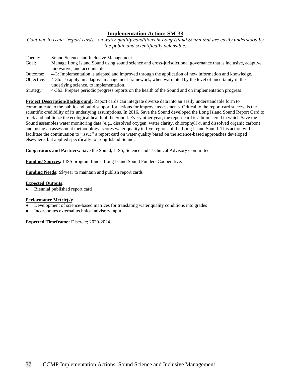*Continue to issue "report cards" on water quality conditions in Long Island Sound that are easily understood by the public and scientifically defensible.*

Theme: Sound Science and Inclusive Management Goal: Manage Long Island Sound using sound science and cross-jurisdictional governance that is inclusive, adaptive, innovative, and accountable. Outcome: 4-3: Implementation is adapted and improved through the application of new information and knowledge. Objective: 4-3b: To apply an adaptive management framework, when warranted by the level of uncertainty in the underlying science, to implementation.

Strategy: 4-3b3: Prepare periodic progress reports on the health of the Sound and on implementation progress.

**Project Description/Background:** Report cards can integrate diverse data into an easily understandable form to communicate to the public and build support for actions for improve assessments. Critical to the report card success is the scientific credibility of its underlying assumptions. In 2016, Save the Sound developed the Long Island Sound Report Card to track and publicize the ecological health of the Sound. Every other year, the report card is administered in which Save the Sound assembles water monitoring data (e.g., dissolved oxygen, water clarity, chlorophyll *a*, and dissolved organic carbon) and, using an assessment methodology, scores water quality in five regions of the Long Island Sound. This action will facilitate the continuation to "issue" a report card on water quality based on the science-based approaches developed elsewhere, but applied specifically to Long Island Sound.

**Cooperators and Partners:** Save the Sound, LISS, Science and Technical Advisory Committee.

**Funding Sources:** LISS program funds, Long Island Sound Funders Cooperative.

**Funding Needs:** \$\$/year to maintain and publish report cards

### **Expected Outputs:**

Biennial published report card

### **Performance Metric(s):**

- Development of science-based matrices for translating water quality conditions into grades
- Incorporates external technical advisory input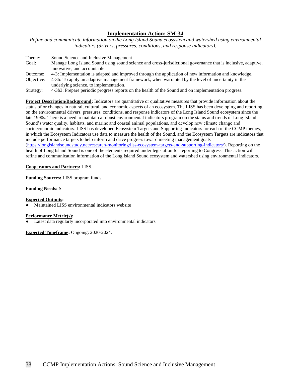*Refine and communicate information on the Long Island Sound ecosystem and watershed using environmental indicators (drivers, pressures, conditions, and response indicators).*

| Theme:     | Sound Science and Inclusive Management                                                                        |
|------------|---------------------------------------------------------------------------------------------------------------|
| Goal:      | Manage Long Island Sound using sound science and cross-jurisdictional governance that is inclusive, adaptive, |
|            | innovative, and accountable.                                                                                  |
| Outcome:   | 4-3: Implementation is adapted and improved through the application of new information and knowledge.         |
| Objective: | 4-3b: To apply an adaptive management framework, when warranted by the level of uncertainty in the            |
|            | underlying science, to implementation.                                                                        |
|            |                                                                                                               |

Strategy: 4-3b3: Prepare periodic progress reports on the health of the Sound and on implementation progress.

**Project Description/Background:** Indicators are quantitative or qualitative measures that provide information about the status of or changes in natural, cultural, and economic aspects of an ecosystem. The LISS has been developing and reporting on the environmental drivers, pressures, conditions, and response indicators of the Long Island Sound ecosystem since the late 1990s. There is a need to maintain a robust environmental indicators program on the status and trends of Long Island Sound's water quality, habitats, and marine and coastal animal populations, and develop new climate change and socioeconomic indicators. LISS has developed Ecosystem Targets and Supporting Indicators for each of the CCMP themes, in which the Ecosystem Indicators use data to measure the health of the Sound, and the Ecosystem Targets are indicators that include performance targets to help inform and drive progress toward meeting management goals [\(https://longislandsoundstudy.net/research-monitoring/liss-ecosystem-targets-and-supporting-indicators/\)](https://longislandsoundstudy.net/research-monitoring/liss-ecosystem-targets-and-supporting-indicators/). Reporting on the health of Long Island Sound is one of the elements required under legislation for reporting to Congress. This action will refine and communication information of the Long Island Sound ecosystem and watershed using environmental indicators.

# **Cooperators and Partners:** LISS.

**Funding Sources:** LISS program funds.

**Funding Needs:** \$

**Expected Outputs:**

Maintained LISS environmental indicators website

# **Performance Metric(s):**

Latest data regularly incorporated into environmental indicators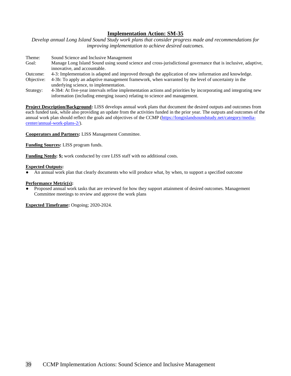*Develop annual Long Island Sound Study work plans that consider progress made and recommendations for improving implementation to achieve desired outcomes.*

Theme: Sound Science and Inclusive Management Goal: Manage Long Island Sound using sound science and cross-jurisdictional governance that is inclusive, adaptive, innovative, and accountable.

- Outcome: 4-3: Implementation is adapted and improved through the application of new information and knowledge.
- Objective: 4-3b: To apply an adaptive management framework, when warranted by the level of uncertainty in the underlying science, to implementation.
- Strategy: 4-3b4: At five-year intervals refine implementation actions and priorities by incorporating and integrating new information (including emerging issues) relating to science and management.

**Project Description/Background:** LISS develops annual work plans that document the desired outputs and outcomes from each funded task, while also providing an update from the activities funded in the prior year. The outputs and outcomes of the annual work plan should reflect the goals and objectives of the CCMP [\(https://longislandsoundstudy.net/category/media](https://longislandsoundstudy.net/category/media-center/annual-work-plans-2/)[center/annual-work-plans-2/\)](https://longislandsoundstudy.net/category/media-center/annual-work-plans-2/).

**Cooperators and Partners:** LISS Management Committee.

**Funding Sources:** LISS program funds.

**Funding Needs: \$;** work conducted by core LISS staff with no additional costs.

### **Expected Outputs:**

An annual work plan that clearly documents who will produce what, by when, to support a specified outcome

### **Performance Metric(s):**

● Proposed annual work tasks that are reviewed for how they support attainment of desired outcomes. Management Committee meetings to review and approve the work plans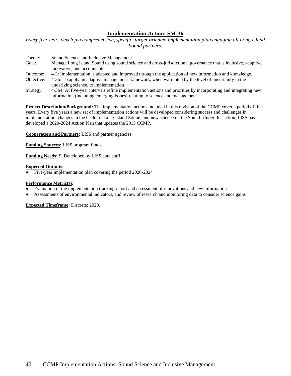*Every five years develop a comprehensive, specific, target-oriented implementation plan engaging all Long Island Sound partners.*

| Theme: | Sound Science and Inclusive Management                                                                        |
|--------|---------------------------------------------------------------------------------------------------------------|
| Goal:  | Manage Long Island Sound using sound science and cross-jurisdictional governance that is inclusive, adaptive, |
|        | innovative, and accountable.                                                                                  |

- Outcome: 4-3: Implementation is adapted and improved through the application of new information and knowledge.
- Objective: 4-3b: To apply an adaptive management framework, when warranted by the level of uncertainty in the underlying science, to implementation.
- Strategy: 4-3b4: At five-year intervals refine implementation actions and priorities by incorporating and integrating new information (including emerging issues) relating to science and management.

**Project Description/Background:** The implementation actions included in this revision of the CCMP cover a period of five years. Every five years a new set of implementation actions will be developed considering success and challenges in implementation, changes in the health of Long Island Sound, and new science on the Sound. Under this action, LISS has developed a 2020-2024 Action Plan that updates the 2015 CCMP.

**Cooperators and Partners:** LISS and partner agencies.

**Funding Sources:** LISS program funds.

**Funding Needs:** \$; Developed by LISS core staff.

### **Expected Outputs:**

Five-year implementation plan covering the period 2020-2024

### **Performance Metric(s):**

- Evaluation of the implementation tracking report and assessment of innovations and new information
- Assessments of environmental indicators, and review of research and monitoring data to consider science gains